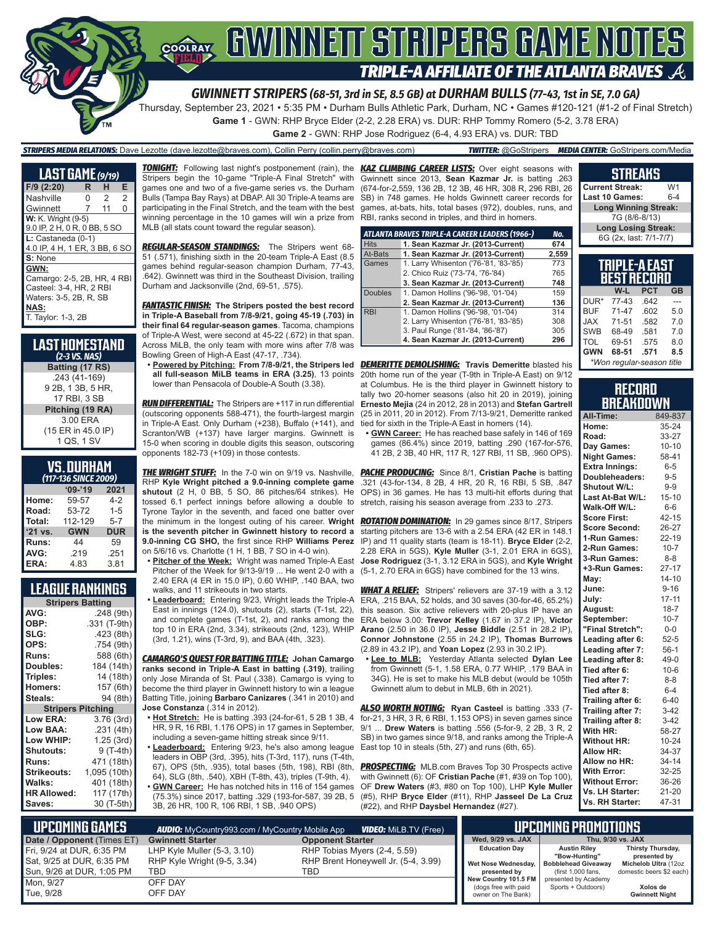# COORAY GWINNEIT STRIPERS GAME NOTES **TRIPLE-A AFFILIATE OF THE ATLANTA BRAVES**

*GWINNETT STRIPERS (68-51, 3rd in SE, 8.5 GB) at DURHAM BULLS (77-43, 1st in SE, 7.0 GA)*

Thursday, September 23, 2021 • 5:35 PM • Durham Bulls Athletic Park, Durham, NC • Games #120-121 (#1-2 of Final Stretch)

**Game 1** - GWN: RHP Bryce Elder (2-2, 2.28 ERA) vs. DUR: RHP Tommy Romero (5-2, 3.78 ERA)

**Game 2** - GWN: RHP Jose Rodriguez (6-4, 4.93 ERA) vs. DUR: TBD

#### *STRIPERS MEDIA RELATIONS:* Dave Lezotte (dave.lezotte@braves.com), Collin Perry (collin.perry@braves.com) *TWITTER:* @GoStripers *MEDIA CENTER:* GoStripers.com/Media

**LAST GAME** *(9/19)* **F/9 (2:20) R H E** Nashville Gwinnett 7 11 0 **W:** K. Wright (9-5) 9.0 IP, 2 H, 0 R, 0 BB, 5 SO **L:** Castaneda (0-1) 4.0 IP, 4 H, 1 ER, 3 BB, 6 SO **S:** None **GWN:** Camargo: 2-5, 2B, HR, 4 RBI Casteel: 3-4, HR, 2 RBI Waters: 3-5, 2B, R, SB **NAS:** T. Taylor: 1-3, 2B

#### **LAST HOMESTAND** *(2-3 VS. NAS)* **Batting (17 RS)** .243 (41-169) 9 2B, 1 3B, 5 HR, 17 RBI, 3 SB **Pitching (19 RA)** 3.00 ERA (15 ER in 45.0 IP) 1 QS, 1 SV

#### **VS. DURHAM**

| (117-136 SINCE 2009) |            |            |  |  |  |  |
|----------------------|------------|------------|--|--|--|--|
|                      | $09 - 19$  | 2021       |  |  |  |  |
| Home:                | 59-57      | $4 - 2$    |  |  |  |  |
| Road:                | 53-72      | $1 - 5$    |  |  |  |  |
| Total:               | 112-129    | $5 - 7$    |  |  |  |  |
| '21 vs.              | <b>GWN</b> | <b>DUR</b> |  |  |  |  |
| Runs:                | 44         | 59         |  |  |  |  |
| AVG:                 | .219       | .251       |  |  |  |  |
| ERA:                 | 4.83       | 3.81       |  |  |  |  |

### **LEAGUE RANKINGS**

| <b>Stripers Batting</b>  |              |
|--------------------------|--------------|
| AVG:                     | .248 (9th)   |
| OBP:                     | .331 (T-9th) |
| SLG:                     | .423 (8th)   |
| OPS:                     | .754 (9th)   |
| <b>Runs:</b>             | 588 (6th)    |
| <b>Doubles:</b>          | 184 (14th)   |
| Triples:                 | 14 (18th)    |
| <b>Homers:</b>           | 157 (6th)    |
| Steals:                  | 94 (8th)     |
| <b>Stripers Pitching</b> |              |
| <b>Low ERA:</b>          | 3.76 (3rd)   |
| Low BAA:                 | .231(4th)    |
| Low WHIP:                | 1.25 (3rd)   |
| Shutouts:                | 9 (T-4th)    |
| Runs:                    | 471 (18th)   |
| <b>Strikeouts:</b>       | 1,095 (10th) |
| Walks:                   | 401 (18th)   |
| <b>HR Allowed:</b>       | 117 (17th)   |
| Saves:                   | 30 (T-5th)   |

*TONIGHT:* Following last night's postponement (rain), the *KAZ CLIMBING CAREER LISTS:* Over eight seasons with Stripers begin the 10-game "Triple-A Final Stretch" with games one and two of a five-game series vs. the Durham Bulls (Tampa Bay Rays) at DBAP. All 30 Triple-A teams are participating in the Final Stretch, and the team with the best winning percentage in the 10 games will win a prize from MLB (all stats count toward the regular season).

*REGULAR-SEASON STANDINGS:* The Stripers went 68- 51 (.571), finishing sixth in the 20-team Triple-A East (8.5 games behind regular-season champion Durham, 77-43, .642). Gwinnett was third in the Southeast Division, trailing Durham and Jacksonville (2nd, 69-51, .575).

*FANTASTIC FINISH:* **The Stripers posted the best record in Triple-A Baseball from 7/8-9/21, going 45-19 (.703) in their final 64 regular-season games**. Tacoma, champions of Triple-A West, were second at 45-22 (.672) in that span. Across MiLB, the only team with more wins after 7/8 was Bowling Green of High-A East (47-17, .734).

**all full-season MiLB teams in ERA (3.25)**, 13 points lower than Pensacola of Double-A South (3.38).

*RUN DIFFERENTIAL:* The Stripers are +117 in run differential (outscoring opponents 588-471), the fourth-largest margin in Triple-A East. Only Durham (+238), Buffalo (+141), and Scranton/WB (+137) have larger margins. Gwinnett is 15-0 when scoring in double digits this season, outscoring opponents 182-73 (+109) in those contests.

**THE WRIGHT STUFF:** In the 7-0 win on 9/19 vs. Nashville, RHP **Kyle Wright pitched a 9.0-inning complete game shutout** (2 H, 0 BB, 5 SO, 86 pitches/64 strikes). He tossed 6.1 perfect innings before allowing a double to Tyrone Taylor in the seventh, and faced one batter over **is the seventh pitcher in Gwinnett history to record a 9.0-inning CG SHO,** the first since RHP **Williams Perez**  on 5/6/16 vs. Charlotte (1 H, 1 BB, 7 SO in 4-0 win).

**• Pitcher of the Week:** Wright was named Triple-A East Pitcher of the Week for 9/13-9/19 ... He went 2-0 with a 2.40 ERA (4 ER in 15.0 IP), 0.60 WHIP, .140 BAA, two walks, and 11 strikeouts in two starts.

**• Leaderboard:** Entering 9/23, Wright leads the Triple-A East in innings (124.0), shutouts (2), starts (T-1st, 22), and complete games (T-1st, 2), and ranks among the top 10 in ERA (2nd, 3.34), strikeouts (2nd, 123), WHIP (3rd, 1.21), wins (T-3rd, 9), and BAA (4th, .323).

*CAMARGO'S QUEST FOR BATTING TITLE:* **Johan Camargo ranks second in Triple-A East in batting (.319)**, trailing only Jose Miranda of St. Paul (.338). Camargo is vying to become the third player in Gwinnett history to win a league Batting Title, joining **Barbaro Canizares** (.341 in 2010) and **Jose Constanza** (.314 in 2012).

**• Hot Stretch:** He is batting .393 (24-for-61, 5 2B 1 3B, 4 HR, 9 R, 16 RBI, 1.176 OPS) in 17 games in September, including a seven-game hitting streak since 9/11.

**• Leaderboard:** Entering 9/23, he's also among league leaders in OBP (3rd, .395), hits (T-3rd, 117), runs (T-4th, 67), OPS (5th, .935), total bases (5th, 198), RBI (8th, 64), SLG (8th, .540), XBH (T-8th, 43), triples (T-9th, 4). **• GWN Career:** He has notched hits in 116 of 154 games (75.3%) since 2017, batting .329 (193-for-587, 39 2B, 5 3B, 26 HR, 100 R, 106 RBI, 1 SB, .940 OPS)

Gwinnett since 2013, **Sean Kazmar Jr.** is batting .263 (674-for-2,559, 136 2B, 12 3B, 46 HR, 308 R, 296 RBI, 26 SB) in 748 games. He holds Gwinnett career records for games, at-bats, hits, total bases (972), doubles, runs, and RBI, ranks second in triples, and third in homers.

|                | ATLANTA BRAVES TRIPLE-A CAREER LEADERS (1966-) | No.   |
|----------------|------------------------------------------------|-------|
| <b>Hits</b>    | 1. Sean Kazmar Jr. (2013-Current)              | 674   |
| At-Bats        | 1. Sean Kazmar Jr. (2013-Current)              | 2,559 |
| Games          | 1. Larry Whisenton ('76-'81, '83-'85)          | 773   |
|                | 2. Chico Ruiz ('73-'74, '76-'84)               | 765   |
|                | 3. Sean Kazmar Jr. (2013-Current)              | 748   |
| <b>Doubles</b> | 1. Damon Hollins ('96-'98, '01-'04)            | 159   |
|                | 2. Sean Kazmar Jr. (2013-Current)              | 136   |
| <b>RBI</b>     | 1. Damon Hollins ('96-'98, '01-'04)            | 314   |
|                | 2. Larry Whisenton ('76-'81, '83-'85)          | 308   |
|                | 3. Paul Runge ('81-'84, '86-'87)               | 305   |
|                | 4. Sean Kazmar Jr. (2013-Current)              | 296   |

**• Powered by Pitching: From 7/8-9/21, the Stripers led**  *DEMERITTE DEMOLISHING:* **Travis Demeritte** blasted his 20th home run of the year (T-9th in Triple-A East) on 9/12 at Columbus. He is the third player in Gwinnett history to tally two 20-homer seasons (also hit 20 in 2019), joining **Ernesto Mejia** (24 in 2012, 28 in 2013) and **Stefan Gartrell** (25 in 2011, 20 in 2012). From 7/13-9/21, Demeritte ranked tied for sixth in the Triple-A East in homers (14).

**• GWN Career:** He has reached base safely in 146 of 169 games (86.4%) since 2019, batting .290 (167-for-576, 41 2B, 2 3B, 40 HR, 117 R, 127 RBI, 11 SB, .960 OPS).

**PACHE PRODUCING:** Since 8/1, Cristian Pache is batting .321 (43-for-134, 8 2B, 4 HR, 20 R, 16 RBI, 5 SB, .847 OPS) in 36 games. He has 13 multi-hit efforts during that stretch, raising his season average from .233 to .273.

the minimum in the longest outing of his career. **Wright**  *ROTATION DOMINATION:* In 29 games since 8/17, Stripers starting pitchers are 13-6 with a 2.54 ERA (42 ER in 148.1 IP) and 11 quality starts (team is 18-11). **Bryce Elder** (2-2, 2.28 ERA in 5GS), **Kyle Muller** (3-1, 2.01 ERA in 6GS), **Jose Rodriguez** (3-1, 3.12 ERA in 5GS), and **Kyle Wright** (5-1, 2.70 ERA in 6GS) have combined for the 13 wins.

> *WHAT A RELIEF:* Stripers' relievers are 37-19 with a 3.12 ERA, .215 BAA, 52 holds, and 30 saves (30-for-46, 65.2%) this season. Six active relievers with 20-plus IP have an ERA below 3.00: **Trevor Kelley** (1.67 in 37.2 IP), **Victor Arano** (2.50 in 36.0 IP), **Jesse Biddle** (2.51 in 28.2 IP), **Connor Johnstone** (2.55 in 24.2 IP), **Thomas Burrows** (2.89 in 43.2 IP), and **Yoan Lopez** (2.93 in 30.2 IP).

**• Lee to MLB:** Yesterday Atlanta selected **Dylan Lee** from Gwinnett (5-1, 1.58 ERA, 0.77 WHIP, .179 BAA in 34G). He is set to make his MLB debut (would be 105th Gwinnett alum to debut in MLB, 6th in 2021).

*ALSO WORTH NOTING:* **Ryan Casteel** is batting .333 (7 for-21, 3 HR, 3 R, 6 RBI, 1.153 OPS) in seven games since 9/1 ... **Drew Waters** is batting .556 (5-for-9, 2 2B, 3 R, 2 SB) in two games since 9/18, and ranks among the Triple-A East top 10 in steals (5th, 27) and runs (6th, 65).

**PROSPECTING:** MLB.com Braves Top 30 Prospects active with Gwinnett (6): OF **Cristian Pache** (#1, #39 on Top 100), OF **Drew Waters** (#3, #80 on Top 100), LHP **Kyle Muller** (#5), RHP **Bryce Elder** (#11), RHP **Jasseel De La Cruz** (#22), and RHP **Daysbel Hernandez** (#27).

|                            | Long Winning Streak: |            |           |  |  |  |
|----------------------------|----------------------|------------|-----------|--|--|--|
|                            | 7G (8/6-8/13)        |            |           |  |  |  |
| <b>Long Losing Streak:</b> |                      |            |           |  |  |  |
| 6G (2x, last: 7/1-7/7)     |                      |            |           |  |  |  |
|                            |                      |            |           |  |  |  |
| TRIPLE-A EAST              |                      |            |           |  |  |  |
|                            | <b>BEST RECORD</b>   |            |           |  |  |  |
|                            |                      |            |           |  |  |  |
|                            |                      |            |           |  |  |  |
|                            | W-L                  | <b>PCT</b> | <b>GB</b> |  |  |  |
| DUR*                       | 77-43                | .642       |           |  |  |  |

**STREAKS Current Streak:** W1 **Last 10 Games:** 

BUF 71-47 .602 5.0 JAX 71-51 .582 7.0 SWB 68-49 581 7.0 TOL 69-51 .575 8.0<br>**GWN 68-51 .571 8.5 GWN 68-51 .571 8.5** *\*Won regular-season title*

#### **RECORD BREAKDOWN**

| All-Time:             | 849-837   |
|-----------------------|-----------|
| Home:                 | 35-24     |
| Road:                 | 33-27     |
| Day Games:            | $10 - 10$ |
| <b>Night Games:</b>   | 58-41     |
| Extra Innings:        | $6-5$     |
| Doubleheaders:        | $9 - 5$   |
| Shutout W/L:          | $9-9$     |
| Last At-Bat W/L:      | $15 - 10$ |
| Walk-Off W/L:         | $6-6$     |
| <b>Score First:</b>   | $42 - 15$ |
| Score Second:         | 26-27     |
| 1-Run Games:          | 22-19     |
| 2-Run Games:          | $10 - 7$  |
| 3-Run Games:          | $8 - 8$   |
| +3-Run Games:         | $27 - 17$ |
| May:                  | $14 - 10$ |
| June:                 | $9 - 16$  |
| July:                 | $17 - 11$ |
| August:               | $18 - 7$  |
| September:            | $10 - 7$  |
| "Final Stretch":      | $0-0$     |
| Leading after 6:      | $52 - 5$  |
| Leading after 7:      | $56-1$    |
| Leading after 8:      | $49-0$    |
| Tied after 6:         | $10 - 6$  |
| Tied after 7:         | $8 - 8$   |
| Tied after 8:         | $6 - 4$   |
| Trailing after 6:     | $6 - 40$  |
| Trailing after 7:     | $3-42$    |
| Trailing after 8:     | $3-42$    |
| With HR:              | 58-27     |
| <b>Without HR:</b>    | $10 - 24$ |
| Allow HR:             | 34-37     |
| Allow no HR:          | 34-14     |
| With Error:           | 32-25     |
| <b>Without Error:</b> | 36-26     |
| Vs. LH Starter:       | 21-20     |
| Vs. RH Starter:       | 47-31     |

| L <b>upcoming Games</b> I  | <b>AUDIO:</b> MyCountry993.com / MyCountry Mobile App | <b>VIDEO:</b> MiLB.TV (Free)        |                                            | UPCOMING PROMOTIONS                       |                                   |
|----------------------------|-------------------------------------------------------|-------------------------------------|--------------------------------------------|-------------------------------------------|-----------------------------------|
| Date / Opponent (Times ET) | <b>Gwinnett Starter</b>                               | <b>Opponent Starter</b>             | Wed. 9/29 vs. JAX                          |                                           | Thu. 9/30 vs. JAX                 |
| Fri. 9/24 at DUR. 6:35 PM  | LHP Kyle Muller $(5-3, 3.10)$                         | RHP Tobias Myers (2-4, 5.59)        | <b>Education Day</b>                       | <b>Austin Rilev</b><br>"Bow-Huntina"      | Thirsty Thursday,<br>presented by |
| Sat, 9/25 at DUR, 6:35 PM  | RHP Kyle Wright (9-5, 3.34)                           | RHP Brent Honeywell Jr. (5-4, 3.99) |                                            | Wet Nose Wednesday,   Bobblehead Giveaway | Michelob Ultra (12oz              |
| Sun, 9/26 at DUR, 1:05 PM  | TBD                                                   | TBD                                 | presented by                               | (first 1,000 fans.)                       | domestic beers \$2 each)          |
| Mon. 9/27                  | OFF DAY                                               |                                     | New Country 101.5 FM                       | presented by Academy                      |                                   |
| Tue. 9/28                  | OFF DAY                                               |                                     | (dogs free with paid<br>owner on The Bank) | Sports + Outdoors)                        | Xolos de<br><b>Gwinnett Night</b> |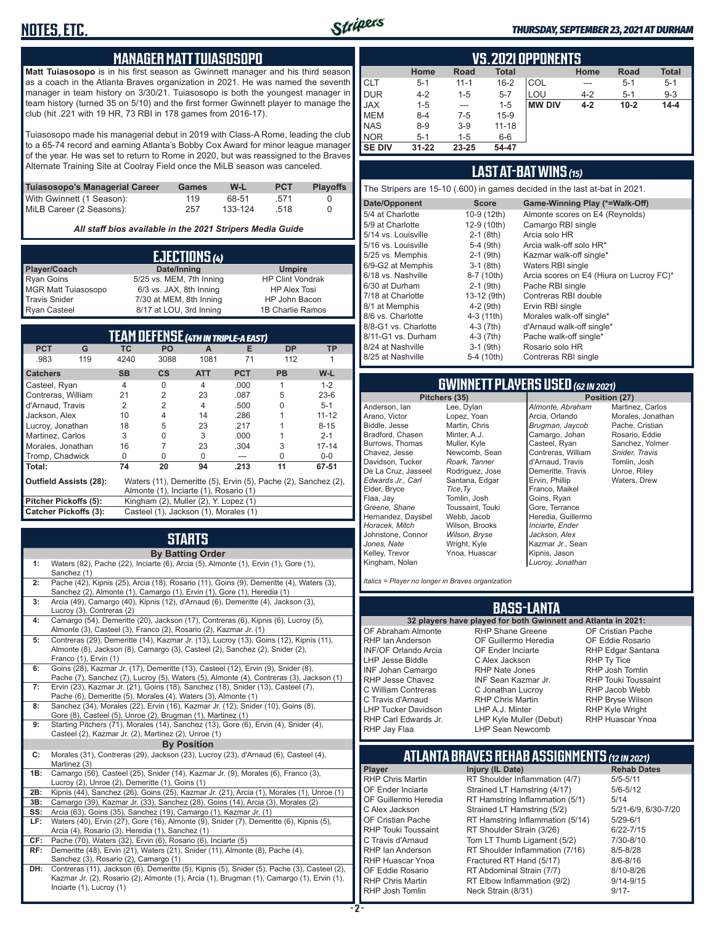

#### *THURSDAY, SEPTEMBER 23, 2021 AT DURHAM*

#### **MANAGER MATT TUIASOSOPO**

**Matt Tuiasosopo** is in his first season as Gwinnett manager and his third season as a coach in the Atlanta Braves organization in 2021. He was named the seventh manager in team history on 3/30/21. Tuiasosopo is both the youngest manager in team history (turned 35 on 5/10) and the first former Gwinnett player to manage the club (hit .221 with 19 HR, 73 RBI in 178 games from 2016-17).

Tuiasosopo made his managerial debut in 2019 with Class-A Rome, leading the club to a 65-74 record and earning Atlanta's Bobby Cox Award for minor league manager of the year. He was set to return to Rome in 2020, but was reassigned to the Braves Alternate Training Site at Coolray Field once the MiLB season was canceled.

| Tuiasosopo's Managerial Career | Games | W-L     | <b>PCT</b> | <b>Plavoffs</b> |
|--------------------------------|-------|---------|------------|-----------------|
| With Gwinnett (1 Season):      | 119   | 68-51   | 571        |                 |
| MiLB Career (2 Seasons):       | 257   | 133-124 | 518        |                 |

*All staff bios available in the 2021 Stripers Media Guide*

|                            | EJECTIONS (4)            |                         |
|----------------------------|--------------------------|-------------------------|
| Player/Coach               | Date/Inning              | <b>Umpire</b>           |
| <b>Ryan Goins</b>          | 5/25 vs. MEM, 7th Inning | <b>HP Clint Vondrak</b> |
| <b>MGR Matt Tuiasosopo</b> | 6/3 vs. JAX, 8th Inning  | <b>HP Alex Tosi</b>     |
| <b>Travis Snider</b>       | 7/30 at MEM, 8th Inning  | HP John Bacon           |
| <b>Ryan Casteel</b>        | 8/17 at LOU, 3rd Inning  | 1B Charlie Ramos        |

| TEAM DEFENSE (4TH IN TRIPLE-A EAST) |                                                                                                 |                |                                        |            |            |              |           |
|-------------------------------------|-------------------------------------------------------------------------------------------------|----------------|----------------------------------------|------------|------------|--------------|-----------|
| <b>PCT</b>                          | G                                                                                               | ТC.            | <b>PO</b>                              | A          | Е          | <b>DP</b>    | <b>TP</b> |
| .983                                | 119                                                                                             | 4240           | 3088                                   | 1081       | 71         | 112          |           |
| <b>Catchers</b>                     |                                                                                                 | <b>SB</b>      | $\mathsf{cs}$                          | <b>ATT</b> | <b>PCT</b> | <b>PB</b>    | W-L       |
| Casteel, Ryan                       |                                                                                                 | $\overline{4}$ | <sup>0</sup>                           | 4          | .000       |              | $1 - 2$   |
| Contreras, William                  |                                                                                                 | 21             | $\overline{2}$                         | 23         | .087       | 5            | $23-6$    |
| d'Arnaud, Travis                    |                                                                                                 | 2              | $\overline{2}$                         | 4          | .500       | U            | $5 - 1$   |
| Jackson, Alex                       |                                                                                                 | 10             | 4                                      | 14         | .286       |              | $11 - 12$ |
| Lucroy, Jonathan                    |                                                                                                 | 18             | 5                                      | 23         | .217       |              | $8 - 15$  |
| Martinez, Carlos                    |                                                                                                 | 3              | O                                      | 3          | .000       |              | $2 - 1$   |
| Morales, Jonathan                   |                                                                                                 | 16             |                                        | 23         | .304       | 3            | $17 - 14$ |
| Tromp, Chadwick                     |                                                                                                 | O              | O                                      | U          |            | <sup>n</sup> | $0 - 0$   |
| Total:                              |                                                                                                 | 74             | 20                                     | 94         | .213       | 11           | 67-51     |
|                                     | <b>Outfield Assists (28):</b><br>Waters (11), Demeritte (5), Ervin (5), Pache (2), Sanchez (2), |                |                                        |            |            |              |           |
|                                     |                                                                                                 |                | Almonte (1), Inciarte (1), Rosario (1) |            |            |              |           |
| Pitcher Pickoffs (5):               |                                                                                                 |                | Kingham (2), Muller (2), Y. Lopez (1)  |            |            |              |           |
| Catcher Pickoffs (3):               |                                                                                                 |                | Casteel (1), Jackson (1), Morales (1)  |            |            |              |           |

# **STARTS**

|     | <b>By Batting Order</b>                                                                                                                                                                         |
|-----|-------------------------------------------------------------------------------------------------------------------------------------------------------------------------------------------------|
| 1:  | Waters (82), Pache (22), Inciarte (6), Arcia (5), Almonte (1), Ervin (1), Gore (1),<br>Sanchez (1)                                                                                              |
| 2:  | Pache (42), Kipnis (25), Arcia (18), Rosario (11), Goins (9), Demeritte (4), Waters (3),<br>Sanchez (2), Almonte (1), Camargo (1), Ervin (1), Gore (1), Heredia (1)                             |
| 3:  | Arcia (49), Camargo (40), Kipnis (12), d'Arnaud (6), Demeritte (4), Jackson (3),<br>Lucroy (3), Contreras (2)                                                                                   |
| 4:  | Camargo (54), Demeritte (20), Jackson (17), Contreras (6), Kipnis (6), Lucroy (5),<br>Almonte (3), Casteel (3), Franco (2), Rosario (2), Kazmar Jr. (1)                                         |
| 5:  | Contreras (29), Demeritte (14), Kazmar Jr. (13), Lucroy (13), Goins (12), Kipnis (11),<br>Almonte (8), Jackson (8), Camargo (3), Casteel (2), Sanchez (2), Snider (2),<br>Franco (1), Ervin (1) |
| 6:  | Goins (28), Kazmar Jr. (17), Demeritte (13), Casteel (12), Ervin (9), Snider (8),<br>Pache (7), Sanchez (7), Lucroy (5), Waters (5), Almonte (4), Contreras (3), Jackson (1)                    |
| 7:  | Ervin (23), Kazmar Jr. (21), Goins (18), Sanchez (18), Snider (13), Casteel (7),<br>Pache (6), Demeritte (5), Morales (4), Waters (3), Almonte (1)                                              |
| 8:  | Sanchez (34), Morales (22), Ervin (16), Kazmar Jr. (12), Snider (10), Goins (8),<br>Gore (8), Casteel (5), Unroe (2), Brugman (1), Martinez (1)                                                 |
| 9:  | Starting Pitchers (71), Morales (14), Sanchez (13), Gore (6), Ervin (4), Snider (4),<br>Casteel (2), Kazmar Jr. (2), Martinez (2), Unroe (1)                                                    |
|     | <b>By Position</b>                                                                                                                                                                              |
| C:  | Morales (31), Contreras (29), Jackson (23), Lucroy (23), d'Arnaud (6), Casteel (4),<br>Martinez (3)                                                                                             |
| 1B: | Camargo (56), Casteel (25), Snider (14), Kazmar Jr. (9), Morales (6), Franco (3),<br>Lucroy (2), Unroe (2), Demeritte (1), Goins (1)                                                            |
| 2B: | Kipnis (44), Sanchez (26), Goins (25), Kazmar Jr. (21), Arcia (1), Morales (1), Unroe (1)                                                                                                       |
| 3B: | Camargo (39), Kazmar Jr. (33), Sanchez (28), Goins (14), Arcia (3), Morales (2)                                                                                                                 |
| SS: | Arcia (63), Goins (35), Sanchez (19), Camargo (1), Kazmar Jr. (1)                                                                                                                               |
| LF: | Waters (40), Ervin (27), Gore (16), Almonte (9), Snider (7), Demeritte (6), Kipnis (5),                                                                                                         |
| CF: | Arcia (4), Rosario (3), Heredia (1), Sanchez (1)                                                                                                                                                |
| RF: | Pache (70), Waters (32), Ervin (6), Rosario (6), Inciarte (5)<br>Demeritte (48), Ervin (21), Waters (21), Snider (11), Almonte (8), Pache (4),                                                  |
|     | Sanchez (3), Rosario (2), Camargo (1)                                                                                                                                                           |
| DH: | Contreras (11), Jackson (6), Demeritte (5), Kipnis (5), Snider (5), Pache (3), Casteel (2),                                                                                                     |
|     | Kazmar Jr. (2), Rosario (2), Almonte (1), Arcia (1), Brugman (1), Camargo (1), Ervin (1),                                                                                                       |
|     | Inciarte (1), Lucroy (1)                                                                                                                                                                        |

| <b>VS. 2021 OPPONENTS</b> |           |             |              |               |         |          |              |
|---------------------------|-----------|-------------|--------------|---------------|---------|----------|--------------|
|                           | Home      | <b>Road</b> | <b>Total</b> |               | Home    | Road     | <b>Total</b> |
| <b>CLT</b>                | $5 - 1$   | $11 - 1$    | $16 - 2$     | COL           | ---     | $5-1$    | $5 - 1$      |
| <b>DUR</b>                | $4 - 2$   | $1 - 5$     | $5 - 7$      | LOU           | $4 - 2$ | $5 - 1$  | $9 - 3$      |
| <b>JAX</b>                | $1 - 5$   | $- - -$     | $1 - 5$      | <b>MW DIV</b> | $4 - 2$ | $10 - 2$ | $14 - 4$     |
| <b>MEM</b>                | $8 - 4$   | $7-5$       | $15-9$       |               |         |          |              |
| <b>NAS</b>                | $8 - 9$   | $3-9$       | $11 - 18$    |               |         |          |              |
| <b>NOR</b>                | $5 - 1$   | $1 - 5$     | $6-6$        |               |         |          |              |
| <b>SE DIV</b>             | $31 - 22$ | 23-25       | 54-47        |               |         |          |              |

#### **LAST AT-BAT WINS** *(15)*

The Stripers are 15-10 (.600) in games decided in the last at-bat in 2021.

| Date/Opponent        | <b>Score</b> | Game-Winning Play (*=Walk-Off)           |
|----------------------|--------------|------------------------------------------|
| 5/4 at Charlotte     | 10-9 (12th)  | Almonte scores on E4 (Reynolds)          |
| 5/9 at Charlotte     | 12-9 (10th)  | Camargo RBI single                       |
| 5/14 vs. Louisville  | $2-1$ (8th)  | Arcia solo HR                            |
| 5/16 vs. Louisville  | $5-4$ (9th)  | Arcia walk-off solo HR*                  |
| 5/25 vs. Memphis     | $2-1$ (9th)  | Kazmar walk-off single*                  |
| 6/9-G2 at Memphis    | $3-1$ (8th)  | Waters RBI single                        |
| 6/18 vs. Nashville   | 8-7 (10th)   | Arcia scores on E4 (Hiura on Lucroy FC)* |
| 6/30 at Durham       | $2-1$ (9th)  | Pache RBI single                         |
| 7/18 at Charlotte    | 13-12 (9th)  | Contreras RBI double                     |
| 8/1 at Memphis       | $4-2$ (9th)  | Ervin RBI single                         |
| 8/6 vs. Charlotte    | 4-3 (11th)   | Morales walk-off single*                 |
| 8/8-G1 vs. Charlotte | $4-3(7th)$   | d'Arnaud walk-off single*                |
| 8/11-G1 vs. Durham   | $4-3(7th)$   | Pache walk-off single*                   |
| 8/24 at Nashville    | $3-1$ (9th)  | Rosario solo HR                          |
| 8/25 at Nashville    | 5-4 (10th)   | Contreras RBI single                     |
|                      |              |                                          |

# **GWINNETT PLAYERS USED** *(62 IN 2021)*

Anderson, Ian Arano, Victor Biddle, Jesse Bradford, Chasen Burrows, Thomas Chavez, Jesse Davidson, Tucker De La Cruz, Jasseel *Edwards Jr., Carl* Elder, Bryce Flaa, Jay *Greene, Shane*  Hernandez, Daysbel *Horacek, Mitch* Johnstone, Connor *Jones, Nate* Kelley, Trevor Kingham, Nolan

Lee, Dylan Lopez, Yoan Martin, Chris Minter, A.J. Muller, Kyle Newcomb, Sean *Roark, Tanner* Rodriguez, Jose Santana, Edgar Tomlin, Josh Toussaint, Touki Webb, Jacob Wilson, Brooks *Wilson, Bryse* Wright, Kyle Ynoa, Huascar *Almonte, Abraham* Arcia, Orlando *Brugman, Jaycob* Camargo, Johan Casteel, Ryan Contreras, William d'Arnaud, Travis Demeritte, Travis Ervin, Phillip Franco, Maikel Goins, Ryan Gore, Terrance Heredia, Guillermo *Inciarte, Ender Jackson, Alex* Kazmar Jr., Sean Kipnis, Jason *Lucroy, Jonathan*

**Position (27)** Martinez, Carlos Morales, Jonathan Pache, Cristian Rosario, Eddie Sanchez, Yolmer *Snider, Travis* Tomlin, Josh Unroe, Riley Waters, Drew

*Italics = Player no longer in Braves organization*

*Tice,Ty*

#### **BASS-LANTA**

OF Abraham Almonte RHP Ian Anderson INF/OF Orlando Arcia LHP Jesse Biddle INF Johan Camargo RHP Jesse Chavez C William Contreras C Travis d'Arnaud LHP Tucker Davidson RHP Carl Edwards Jr. RHP Jay Flaa

**32 players have played for both Gwinnett and Atlanta in 2021:** RHP Shane Greene OF Guillermo Heredia OF Ender Inciarte C Alex Jackson RHP Nate Jones INF Sean Kazmar Jr. C Jonathan Lucroy RHP Chris Martin LHP A.J. Minter LHP Kyle Muller (Debut) LHP Sean Newcomb

OF Cristian Pache OF Eddie Rosario RHP Edgar Santana RHP Ty Tice RHP Josh Tomlin RHP Touki Toussaint RHP Jacob Webb RHP Bryse Wilson RHP Kyle Wright RHP Huascar Ynoa

#### **ATLANTA BRAVES REHAB ASSIGNMENTS** *(12 IN 2021)* **Player Injury (IL Date)**

RHP Chris Martin RT Shoulder Inflammation (4/7) 5/5-5/11<br>OF Ender Inciarte Strained LT Hamstring (4/17) 5/6-5/12 OF Ender Inciarte Strained LT Hamstring (4/17)<br>OF Guillermo Heredia RT Hamstring Inflammation (5) RT Hamstring Inflammation  $(5/1)$  5/14<br>Strained LT Hamstring  $(5/2)$  5/21-6/9, 6/30-7/20 C Alex Jackson Strained LT Hamstring (5/2) 5/21-6/9<br>CF Cristian Pache RT Hamstring Inflammation (5/14) 5/29-6/1 OF Cristian Pache RT Hamstring Inflammation (5/14) 5/29-6/1<br>RHP Touki Toussaint RT Shoulder Strain (3/26) 6/22-7/15 RT Shoulder Strain (3/26) C Travis d'Arnaud Torn LT Thumb Ligament (5/2) 7/30-8/10 RHP Ian Anderson RT Shoulder Inflammation (7/16) 8/5-8/28<br>RHP Huascar Ynoa Fractured RT Hand (5/17) 8/6-8/16 RHP Huascar Ynoa Fractured RT Hand (5/17) 8/6-8/16<br>OF Eddie Rosario RT Abdominal Strain (7/7) 8/10-8/26 OF Eddie Rosario RT Abdominal Strain (7/7)<br>RHP Chris Martin RT Flbow Inflammation (9 RHP Chris Martin RT Elbow Inflammation (9/2) 9/14-9/15 Neck Strain (8/31)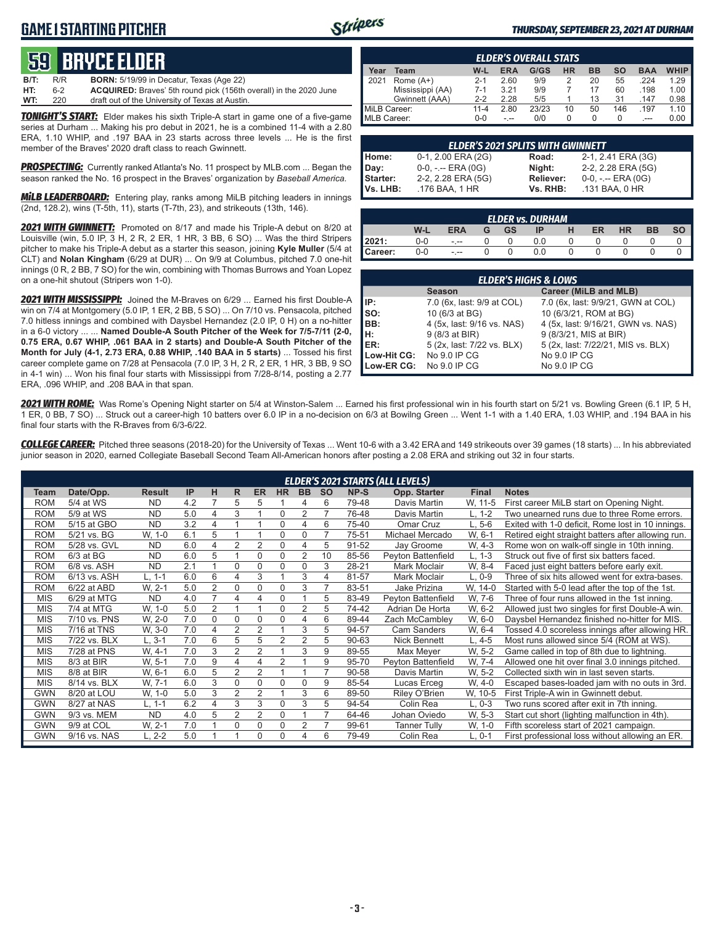## **GAME 1 STARTING PITCHER**



#### *THURSDAY, SEPTEMBER 23, 2021 AT DURHAM*

# **59****bryce elder**

| <b>B/T:</b> | R/R | <b>BORN:</b> 5/19/99 in Decatur, Texas (Age 22)                          |
|-------------|-----|--------------------------------------------------------------------------|
| HT:         | 6-2 | <b>ACQUIRED:</b> Braves' 5th round pick (156th overall) in the 2020 June |
| WT:         | 220 | draft out of the University of Texas at Austin.                          |

*TONIGHT'S START:* Elder makes his sixth Triple-A start in game one of a five-game series at Durham ... Making his pro debut in 2021, he is a combined 11-4 with a 2.80 ERA, 1.10 WHIP, and .197 BAA in 23 starts across three levels ... He is the first member of the Braves' 2020 draft class to reach Gwinnett.

*PROSPECTING:* Currently ranked Atlanta's No. 11 prospect by MLB.com ... Began the season ranked the No. 16 prospect in the Braves' organization by *Baseball America.*

*MiLB LEADERBOARD:* Entering play, ranks among MiLB pitching leaders in innings (2nd, 128.2), wins (T-5th, 11), starts (T-7th, 23), and strikeouts (13th, 146).

*2021 WITH GWINNETT:* Promoted on 8/17 and made his Triple-A debut on 8/20 at Louisville (win, 5.0 IP, 3 H, 2 R, 2 ER, 1 HR, 3 BB, 6 SO) ... Was the third Stripers pitcher to make his Triple-A debut as a starter this season, joining **Kyle Muller** (5/4 at CLT) and **Nolan Kingham** (6/29 at DUR) ... On 9/9 at Columbus, pitched 7.0 one-hit innings (0 R, 2 BB, 7 SO) for the win, combining with Thomas Burrows and Yoan Lopez on a one-hit shutout (Stripers won 1-0).

*2021 WITH MISSISSIPPI:* Joined the M-Braves on 6/29 ... Earned his first Double-A win on 7/4 at Montgomery (5.0 IP, 1 ER, 2 BB, 5 SO) ... On 7/10 vs. Pensacola, pitched 7.0 hitless innings and combined with Daysbel Hernandez (2.0 IP, 0 H) on a no-hitter in a 6-0 victory ... ... **Named Double-A South Pitcher of the Week for 7/5-7/11 (2-0, 0.75 ERA, 0.67 WHIP, .061 BAA in 2 starts) and Double-A South Pitcher of the Month for July (4-1, 2.73 ERA, 0.88 WHIP, .140 BAA in 5 starts)** ... Tossed his first career complete game on 7/28 at Pensacola (7.0 IP, 3 H, 2 R, 2 ER, 1 HR, 3 BB, 9 SO in 4-1 win) ... Won his final four starts with Mississippi from 7/28-8/14, posting a 2.77 ERA, .096 WHIP, and .208 BAA in that span.

|              | <b>ELDER'S OVERALL STATS</b> |          |      |       |    |           |     |            |             |  |  |  |  |  |  |
|--------------|------------------------------|----------|------|-------|----|-----------|-----|------------|-------------|--|--|--|--|--|--|
| ear          | Team                         | W-L      | ERA  | G/GS  | HR | <b>BB</b> | SΟ  | <b>BAA</b> | <b>WHIP</b> |  |  |  |  |  |  |
|              | Rome $(A+)$                  | $2 - 1$  | 2.60 | 9/9   |    | 20        | 55  | .224       | 1.29        |  |  |  |  |  |  |
|              | Mississippi (AA)             | $7-1$    | 3.21 | 9/9   |    | 17        | 60  | .198       | 1.00        |  |  |  |  |  |  |
|              | Gwinnett (AAA)               | $2-2$    | 2.28 | 5/5   |    | 13        | 31  | .147       | 0.98        |  |  |  |  |  |  |
| MiLB Career: |                              | $11 - 4$ | 2.80 | 23/23 | 10 | 50        | 146 | .197       | 1.10        |  |  |  |  |  |  |
| MLB Career:  |                              | 0-0      |      | 0/0   |    |           |     |            |             |  |  |  |  |  |  |

| <b>ELDER'S 2021 SPLITS WITH GWINNETT</b> |                       |           |                       |  |  |  |  |  |  |  |  |
|------------------------------------------|-----------------------|-----------|-----------------------|--|--|--|--|--|--|--|--|
| Home:                                    | 0-1, 2.00 ERA (2G)    | Road:     | 2-1, 2.41 ERA (3G)    |  |  |  |  |  |  |  |  |
| Day:                                     | $0-0, - -$ ERA $(0G)$ | Night:    | 2-2, 2.28 ERA (5G)    |  |  |  |  |  |  |  |  |
| Starter:                                 | 2-2, 2.28 ERA (5G)    | Reliever: | $0-0, - -$ ERA $(0G)$ |  |  |  |  |  |  |  |  |
| IVs. LHB:                                | .176 BAA, 1 HR        | Vs. RHB:  | .131 BAA, 0 HR        |  |  |  |  |  |  |  |  |

| $\parallel$ | <b>ELDER vs. DURHAM</b>                  |         |  |  |     |  |  |  |  |  |  |  |  |  |  |
|-------------|------------------------------------------|---------|--|--|-----|--|--|--|--|--|--|--|--|--|--|
|             | W-L<br>GS<br>ER<br>ERA<br>HR<br>IP<br>ВB |         |  |  |     |  |  |  |  |  |  |  |  |  |  |
| 2021:       | 0-0                                      | - --    |  |  | ა.0 |  |  |  |  |  |  |  |  |  |  |
| Career:     | ე-0                                      | $- - -$ |  |  | 0.0 |  |  |  |  |  |  |  |  |  |  |

|                                        | <b>ELDER'S HIGHS &amp; LOWS</b> |                                    |  |  |  |  |  |  |  |  |  |  |
|----------------------------------------|---------------------------------|------------------------------------|--|--|--|--|--|--|--|--|--|--|
| Career (MiLB and MLB)<br><b>Season</b> |                                 |                                    |  |  |  |  |  |  |  |  |  |  |
| IP:                                    | 7.0 (6x, last: 9/9 at COL)      | 7.0 (6x, last: 9/9/21, GWN at COL) |  |  |  |  |  |  |  |  |  |  |
| $\mathsf{Iso}:$                        | 10 (6/3 at BG)                  | 10 (6/3/21, ROM at BG)             |  |  |  |  |  |  |  |  |  |  |
| BB:                                    | 4 (5x, last: 9/16 vs. NAS)      | 4 (5x, last: 9/16/21, GWN vs. NAS) |  |  |  |  |  |  |  |  |  |  |
| Iн:                                    | 9 (8/3 at BIR)                  | 9 (8/3/21, MIS at BIR)             |  |  |  |  |  |  |  |  |  |  |
| <b>IER:</b>                            | 5 (2x, last: 7/22 vs. BLX)      | 5 (2x, last: 7/22/21, MIS vs. BLX) |  |  |  |  |  |  |  |  |  |  |
| Low-Hit CG:                            | No 9.0 IP CG                    | No 9.0 IP CG                       |  |  |  |  |  |  |  |  |  |  |
| Low-ER CG:                             | No 9.0 IP CG                    | No 9.0 IP CG                       |  |  |  |  |  |  |  |  |  |  |

*2021 WITH ROME:* Was Rome's Opening Night starter on 5/4 at Winston-Salem ... Earned his first professional win in his fourth start on 5/21 vs. Bowling Green (6.1 IP, 5 H, 1 ER, 0 BB, 7 SO) ... Struck out a career-high 10 batters over 6.0 IP in a no-decision on 6/3 at Bowilng Green ... Went 1-1 with a 1.40 ERA, 1.03 WHIP, and .194 BAA in his final four starts with the R-Braves from 6/3-6/22.

*COLLEGE CAREER:* Pitched three seasons (2018-20) for the University of Texas ... Went 10-6 with a 3.42 ERA and 149 strikeouts over 39 games (18 starts) ... In his abbreviated junior season in 2020, earned Collegiate Baseball Second Team All-American honors after posting a 2.08 ERA and striking out 32 in four starts.

|            |              |               |     |                |                |                |                |                |           |       | <b>ELDER'S 2021 STARTS (ALL LEVELS)</b> |              |                                                    |
|------------|--------------|---------------|-----|----------------|----------------|----------------|----------------|----------------|-----------|-------|-----------------------------------------|--------------|----------------------------------------------------|
| Team       | Date/Opp.    | <b>Result</b> | IP  | н              | R              | <b>ER</b>      | <b>HR</b>      | <b>BB</b>      | <b>SO</b> | NP-S  | Opp. Starter                            | <b>Final</b> | <b>Notes</b>                                       |
| <b>ROM</b> | 5/4 at WS    | ND.           | 4.2 | 7              | 5              | 5              |                | 4              | 6         | 79-48 | Davis Martin                            | W. 11-5      | First career MiLB start on Opening Night.          |
| <b>ROM</b> | 5/9 at WS    | <b>ND</b>     | 5.0 | 4              | 3              |                | $\Omega$       | 2              |           | 76-48 | Davis Martin                            | L. 1-2       | Two unearned runs due to three Rome errors.        |
| <b>ROM</b> | 5/15 at GBO  | <b>ND</b>     | 3.2 | 4              | $\overline{ }$ |                | 0              | 4              | 6         | 75-40 | Omar Cruz                               | L, 5-6       | Exited with 1-0 deficit, Rome lost in 10 innings.  |
| <b>ROM</b> | 5/21 vs. BG  | W, 1-0        | 6.1 | 5              |                |                | 0              | 0              |           | 75-51 | Michael Mercado                         | W. 6-1       | Retired eight straight batters after allowing run. |
| <b>ROM</b> | 5/28 vs. GVL | ND.           | 6.0 | 4              | 2              | $\overline{2}$ | 0              | 4              | 5         | 91-52 | Jay Groome                              | W, 4-3       | Rome won on walk-off single in 10th inning.        |
| <b>ROM</b> | $6/3$ at BG  | <b>ND</b>     | 6.0 | 5              |                | $\Omega$       | 0              | $\overline{2}$ | 10        | 85-56 | Peyton Battenfield                      | $L, 1-3$     | Struck out five of first six batters faced.        |
| <b>ROM</b> | 6/8 vs. ASH  | <b>ND</b>     | 2.1 |                | $\Omega$       | $\Omega$       | $\Omega$       | 0              | 3         | 28-21 | Mark Moclair                            | W. 8-4       | Faced just eight batters before early exit.        |
| <b>ROM</b> | 6/13 vs. ASH | L, 1-1        | 6.0 | 6              | 4              | 3              |                | 3              | 4         | 81-57 | Mark Moclair                            | L, 0-9       | Three of six hits allowed went for extra-bases.    |
| <b>ROM</b> | 6/22 at ABD  | W. 2-1        | 5.0 | $\overline{2}$ | 0              | $\Omega$       | $\Omega$       | 3              |           | 83-51 | Jake Prizina                            | W. 14-0      | Started with 5-0 lead after the top of the 1st.    |
| <b>MIS</b> | 6/29 at MTG  | <b>ND</b>     | 4.0 | $\overline{7}$ | 4              | 4              | $\Omega$       |                | 5         | 83-49 | Peyton Battenfield                      | W, 7-6       | Three of four runs allowed in the 1st inning.      |
| <b>MIS</b> | 7/4 at MTG   | W, 1-0        | 5.0 | $\overline{2}$ |                |                | $\Omega$       | $\overline{2}$ | 5         | 74-42 | Adrian De Horta                         | W. 6-2       | Allowed just two singles for first Double-A win.   |
| <b>MIS</b> | 7/10 vs. PNS | W, 2-0        | 7.0 | 0              | 0              | 0              | 0              | 4              | 6         | 89-44 | Zach McCambley                          | W, 6-0       | Daysbel Hernandez finished no-hitter for MIS.      |
| <b>MIS</b> | 7/16 at TNS  | W, 3-0        | 7.0 | 4              | 2              | 2              |                | 3              | 5         | 94-57 | <b>Cam Sanders</b>                      | W. 6-4       | Tossed 4.0 scoreless innings after allowing HR.    |
| <b>MIS</b> | 7/22 vs. BLX | $L.3-1$       | 7.0 | 6              | 5              | 5              | $\overline{2}$ | $\overline{2}$ | 5         | 90-63 | Nick Bennett                            | L. 4-5       | Most runs allowed since 5/4 (ROM at WS).           |
| MIS        | 7/28 at PNS  | W. 4-1        | 7.0 | 3              | $\overline{2}$ | $\overline{2}$ |                | 3              | 9         | 89-55 | Max Meyer                               | W. 5-2       | Game called in top of 8th due to lightning.        |
| <b>MIS</b> | 8/3 at BIR   | W. 5-1        | 7.0 | 9              | 4              | 4              | $\overline{2}$ |                | 9         | 95-70 | Peyton Battenfield                      | W. 7-4       | Allowed one hit over final 3.0 innings pitched.    |
| <b>MIS</b> | 8/8 at BIR   | W, 6-1        | 6.0 | 5              | $\overline{2}$ | $\overline{2}$ |                |                | 7         | 90-58 | Davis Martin                            | W. 5-2       | Collected sixth win in last seven starts.          |
| <b>MIS</b> | 8/14 vs. BLX | W. 7-1        | 6.0 | 3              | $\Omega$       | 0              | $\Omega$       | 0              | 9         | 85-54 | Lucas Erceg                             | W, 4-0       | Escaped bases-loaded jam with no outs in 3rd.      |
| <b>GWN</b> | 8/20 at LOU  | W, 1-0        | 5.0 | 3              | 2              | $\overline{2}$ |                | 3              | 6         | 89-50 | Riley O'Brien                           | W, 10-5      | First Triple-A win in Gwinnett debut.              |
| <b>GWN</b> | 8/27 at NAS  | L, 1-1        | 6.2 | 4              | 3              | 3              | $\Omega$       | 3              | 5         | 94-54 | Colin Rea                               | $L, 0-3$     | Two runs scored after exit in 7th inning.          |
| <b>GWN</b> | 9/3 vs. MEM  | <b>ND</b>     | 4.0 | 5              | $\overline{2}$ | $\overline{2}$ | $\Omega$       |                | 7         | 64-46 | Johan Oviedo                            | W. 5-3       | Start cut short (lighting malfunction in 4th).     |
| <b>GWN</b> | 9/9 at COL   | W. 2-1        | 7.0 |                | 0              | 0              | $\Omega$       | 2              | 7         | 99-61 | <b>Tanner Tully</b>                     | W, 1-0       | Fifth scoreless start of 2021 campaign.            |
| <b>GWN</b> | 9/16 vs. NAS | L. 2-2        | 5.0 |                |                | 0              | $\Omega$       | 4              | 6         | 79-49 | Colin Rea                               | $L, 0-1$     | First professional loss without allowing an ER.    |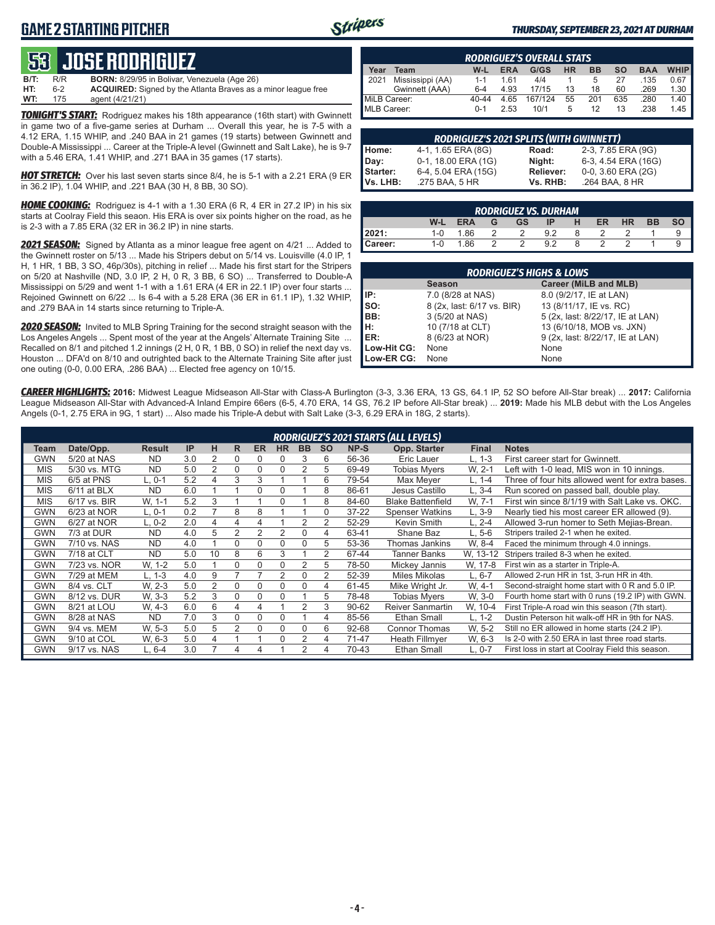## **GAME 2 STARTING PITCHER**



#### *THURSDAY, SEPTEMBER 23, 2021 AT DURHAM*

# **53****JOSE RODRIGUEZ**

**B/T:** R/R **BORN:** 8/29/95 in Bolivar, Venezuela (Age 26)<br>**HT:** 6-2 **ACQUIRED:** Signed by the Atlanta Braves as 6-2 **ACQUIRED:** Signed by the Atlanta Braves as a minor league free<br>175 agent (4/21/21) **WT:** 175 agent (4/21/21)

*TONIGHT'S START:* Rodriguez makes his 18th appearance (16th start) with Gwinnett in game two of a five-game series at Durham ... Overall this year, he is 7-5 with a 4.12 ERA, 1.15 WHIP, and .240 BAA in 21 games (19 starts) between Gwinnett and Double-A Mississippi ... Career at the Triple-A level (Gwinnett and Salt Lake), he is 9-7 with a 5.46 ERA, 1.41 WHIP, and .271 BAA in 35 games (17 starts).

*HOT STRETCH:* Over his last seven starts since 8/4, he is 5-1 with a 2.21 ERA (9 ER in 36.2 IP), 1.04 WHIP, and .221 BAA (30 H, 8 BB, 30 SO).

*HOME COOKING:* Rodriguez is 4-1 with a 1.30 ERA (6 R, 4 ER in 27.2 IP) in his six starts at Coolray Field this seaon. His ERA is over six points higher on the road, as he is 2-3 with a 7.85 ERA (32 ER in 36.2 IP) in nine starts.

*2021 SEASON:* Signed by Atlanta as a minor league free agent on 4/21 ... Added to the Gwinnett roster on 5/13 ... Made his Stripers debut on 5/14 vs. Louisville (4.0 IP, 1 H, 1 HR, 1 BB, 3 SO, 46p/30s), pitching in relief ... Made his first start for the Stripers on 5/20 at Nashville (ND, 3.0 IP, 2 H, 0 R, 3 BB, 6 SO) ... Transferred to Double-A Mississippi on 5/29 and went 1-1 with a 1.61 ERA (4 ER in 22.1 IP) over four starts ... Rejoined Gwinnett on 6/22 ... Is 6-4 with a 5.28 ERA (36 ER in 61.1 IP), 1.32 WHIP, and .279 BAA in 14 starts since returning to Triple-A.

*2020 SEASON:* Invited to MLB Spring Training for the second straight season with the Los Angeles Angels ... Spent most of the year at the Angels' Alternate Training Site ... Recalled on 8/1 and pitched 1.2 innings (2 H, 0 R, 1 BB, 0 SO) in relief the next day vs. Houston ... DFA'd on 8/10 and outrighted back to the Alternate Training Site after just one outing (0-0, 0.00 ERA, .286 BAA) ... Elected free agency on 10/15.

|              | <b>RODRIGUEZ'S OVERALL STATS</b> |         |            |         |           |           |     |            |             |  |  |  |  |  |  |
|--------------|----------------------------------|---------|------------|---------|-----------|-----------|-----|------------|-------------|--|--|--|--|--|--|
| Year         | Team                             | W-L     | <b>ERA</b> | G/GS    | <b>HR</b> | <b>BB</b> | SΟ  | <b>BAA</b> | <b>WHIP</b> |  |  |  |  |  |  |
| 2021         | Mississippi (AA)                 | $1 - 1$ | 161        | 4/4     |           | 5         | 27  | .135       | 0.67        |  |  |  |  |  |  |
|              | Gwinnett (AAA)                   | $6 - 4$ | 4.93       | 17/15   | 13        | 18        | 60  | .269       | 1.30        |  |  |  |  |  |  |
| MiLB Career: |                                  | 40-44   | 4.65       | 167/124 | 55        | 201       | 635 | .280       | 1.40        |  |  |  |  |  |  |
| MLB Career:  |                                  | $0 - 1$ | 2.53       | 10/1    | 5         | 12        | 13  | .238       | 1.45        |  |  |  |  |  |  |

| <b>RODRIGUEZ'S 2021 SPLITS (WITH GWINNETT)</b> |                     |                  |                     |  |  |  |  |  |  |  |  |
|------------------------------------------------|---------------------|------------------|---------------------|--|--|--|--|--|--|--|--|
| Home:                                          | 4-1, 1.65 ERA (8G)  | Road:            | 2-3, 7.85 ERA (9G)  |  |  |  |  |  |  |  |  |
| Day:                                           | 0-1, 18.00 ERA (1G) | Night:           | 6-3, 4.54 ERA (16G) |  |  |  |  |  |  |  |  |
| Starter:                                       | 6-4, 5.04 ERA (15G) | <b>Reliever:</b> | 0-0, 3.60 ERA (2G)  |  |  |  |  |  |  |  |  |
| <b>Vs. LHB:</b>                                | .275 BAA, 5 HR      | Vs. RHB:         | .264 BAA, 8 HR      |  |  |  |  |  |  |  |  |

|         | RODRIGUEZ VS. DURHAM                                                     |     |  |  |    |  |  |  |  |  |  |  |  |  |  |
|---------|--------------------------------------------------------------------------|-----|--|--|----|--|--|--|--|--|--|--|--|--|--|
|         | W-L<br><b>HR</b><br><b>BB</b><br><b>ERA</b><br>ER<br>н<br>SΟ<br>GS<br>IP |     |  |  |    |  |  |  |  |  |  |  |  |  |  |
| 2021:   | $1 - 0$                                                                  | .86 |  |  |    |  |  |  |  |  |  |  |  |  |  |
| Career: | $1 - 0$                                                                  | .86 |  |  | 92 |  |  |  |  |  |  |  |  |  |  |

|             | <b>RODRIGUEZ'S HIGHS &amp; LOWS</b>    |                                  |  |  |  |  |  |  |  |  |  |  |  |  |
|-------------|----------------------------------------|----------------------------------|--|--|--|--|--|--|--|--|--|--|--|--|
|             | Career (MiLB and MLB)<br><b>Season</b> |                                  |  |  |  |  |  |  |  |  |  |  |  |  |
| IP:         | 7.0 (8/28 at NAS)                      | 8.0 (9/2/17, IE at LAN)          |  |  |  |  |  |  |  |  |  |  |  |  |
| Iso:        | 8 (2x, last: 6/17 vs. BIR)             | 13 (8/11/17, IE vs. RC)          |  |  |  |  |  |  |  |  |  |  |  |  |
| BB:         | 3 (5/20 at NAS)                        | 5 (2x, last: 8/22/17, IE at LAN) |  |  |  |  |  |  |  |  |  |  |  |  |
| Iн:         | 10 (7/18 at CLT)                       | 13 (6/10/18, MOB vs. JXN)        |  |  |  |  |  |  |  |  |  |  |  |  |
| <b>IER:</b> | 8 (6/23 at NOR)                        | 9 (2x, last: 8/22/17, IE at LAN) |  |  |  |  |  |  |  |  |  |  |  |  |
| Low-Hit CG: | None                                   | None                             |  |  |  |  |  |  |  |  |  |  |  |  |
| Low-ER CG:  | None                                   | None                             |  |  |  |  |  |  |  |  |  |  |  |  |

*CAREER HIGHLIGHTS:* **2016:** Midwest League Midseason All-Star with Class-A Burlington (3-3, 3.36 ERA, 13 GS, 64.1 IP, 52 SO before All-Star break) ... **2017:** California League Midseason All-Star with Advanced-A Inland Empire 66ers (6-5, 4.70 ERA, 14 GS, 76.2 IP before All-Star break) ... **2019:** Made his MLB debut with the Los Angeles Angels (0-1, 2.75 ERA in 9G, 1 start) ... Also made his Triple-A debut with Salt Lake (3-3, 6.29 ERA in 18G, 2 starts).

|            |               |               |     |                |   |              |                |           |           |           | RODRIGUEZ'S 2021 STARTS (ALL LEVELS) |              |                                                   |
|------------|---------------|---------------|-----|----------------|---|--------------|----------------|-----------|-----------|-----------|--------------------------------------|--------------|---------------------------------------------------|
| Team       | Date/Opp.     | <b>Result</b> | IP  | н              | R | <b>ER</b>    | <b>HR</b>      | <b>BB</b> | <b>SO</b> | NP-S      | Opp. Starter                         | <b>Final</b> | <b>Notes</b>                                      |
| <b>GWN</b> | 5/20 at NAS   | <b>ND</b>     | 3.0 | 2              | 0 | <sup>0</sup> | 0              | 3         | 6         | 56-36     | Eric Lauer                           | $L. 1-3$     | First career start for Gwinnett.                  |
| <b>MIS</b> | 5/30 vs. MTG  | <b>ND</b>     | 5.0 | 2              | 0 | $\mathbf 0$  | 0              | 2         | 5         | 69-49     | <b>Tobias Mvers</b>                  | W. 2-1       | Left with 1-0 lead, MIS won in 10 innings.        |
| <b>MIS</b> | 6/5 at PNS    | L. 0-1        | 5.2 | 4              | 3 | 3            |                |           | 6         | 79-54     | Max Meyer                            | L. 1-4       | Three of four hits allowed went for extra bases.  |
| <b>MIS</b> | $6/11$ at BLX | <b>ND</b>     | 6.0 |                |   | 0            | O              |           | 8         | 86-61     | Jesus Castillo                       | L. 3-4       | Run scored on passed ball, double play.           |
| <b>MIS</b> | 6/17 vs. BIR  | W. 1-1        | 5.2 | 3              |   |              | $\Omega$       |           | 8         | 84-60     | <b>Blake Battenfield</b>             | W. 7-1       | First win since 8/1/19 with Salt Lake vs. OKC.    |
| <b>GWN</b> | 6/23 at NOR   | L, 0-1        | 0.2 |                | 8 | 8            |                |           | 0         | $37 - 22$ | <b>Spenser Watkins</b>               | $L.3-9$      | Nearly tied his most career ER allowed (9).       |
| GWN        | 6/27 at NOR   | L, 0-2        | 2.0 | 4              | 4 | 4            |                | 2         | 2         | 52-29     | Kevin Smith                          | L, 2-4       | Allowed 3-run homer to Seth Mejias-Brean.         |
| <b>GWN</b> | 7/3 at DUR    | <b>ND</b>     | 4.0 | 5              | 2 | 2            | $\overline{2}$ | $\Omega$  | 4         | 63-41     | Shane Baz                            | L. 5-6       | Stripers trailed 2-1 when he exited.              |
| <b>GWN</b> | 7/10 vs. NAS  | <b>ND</b>     | 4.0 |                | 0 | 0            | 0              | 0         | 5         | 53-36     | Thomas Jankins                       | W. 8-4       | Faced the minimum through 4.0 innings.            |
| <b>GWN</b> | 7/18 at CLT   | <b>ND</b>     | 5.0 | 10             | 8 | 6            | 3              |           | 2         | 67-44     | <b>Tanner Banks</b>                  | W. 13-12     | Stripers trailed 8-3 when he exited.              |
| <b>GWN</b> | 7/23 vs. NOR  | W. 1-2        | 5.0 |                | 0 | $\Omega$     | 0              | 2         | 5         | 78-50     | Mickey Jannis                        | W, 17-8      | First win as a starter in Triple-A.               |
| <b>GWN</b> | 7/29 at MEM   | L. 1-3        | 4.0 | 9              |   |              | 2              | 0         | 2         | 52-39     | Miles Mikolas                        | $L, 6-7$     | Allowed 2-run HR in 1st, 3-run HR in 4th.         |
| <b>GWN</b> | 8/4 vs. CLT   | W. 2-3        | 5.0 | $\overline{2}$ | 0 | $\Omega$     | $\Omega$       | 0         | 4         | 61-45     | Mike Wright Jr.                      | W. 4-1       | Second-straight home start with 0 R and 5.0 IP.   |
| GWN        | 8/12 vs. DUR  | W. 3-3        | 5.2 | 3              | 0 | 0            | $\Omega$       |           | 5         | 78-48     | Tobias Myers                         | W. 3-0       | Fourth home start with 0 runs (19.2 IP) with GWN. |
| <b>GWN</b> | 8/21 at LOU   | W. 4-3        | 6.0 | 6              | 4 | 4            |                | 2         | 3         | 90-62     | <b>Reiver Sanmartin</b>              | W. 10-4      | First Triple-A road win this season (7th start).  |
| <b>GWN</b> | 8/28 at NAS   | <b>ND</b>     | 7.0 | 3              | 0 | $\Omega$     | $\Omega$       |           | 4         | 85-56     | <b>Ethan Small</b>                   | L. 1-2       | Dustin Peterson hit walk-off HR in 9th for NAS.   |
| <b>GWN</b> | 9/4 vs. MEM   | W. 5-3        | 5.0 | 5              | 2 | $\Omega$     | $\Omega$       | 0         | 6         | 92-68     | <b>Connor Thomas</b>                 | W. 5-2       | Still no ER allowed in home starts (24.2 IP).     |
| <b>GWN</b> | 9/10 at COL   | W. 6-3        | 5.0 | 4              |   |              | $\Omega$       | 2         | 4         | 71-47     | <b>Heath Fillmver</b>                | W, 6-3       | Is 2-0 with 2.50 ERA in last three road starts.   |
| GWN        | 9/17 vs. NAS  | L. 6-4        | 3.0 |                | 4 | 4            |                | 2         | 4         | 70-43     | <b>Ethan Small</b>                   | $L. 0-7$     | First loss in start at Coolray Field this season. |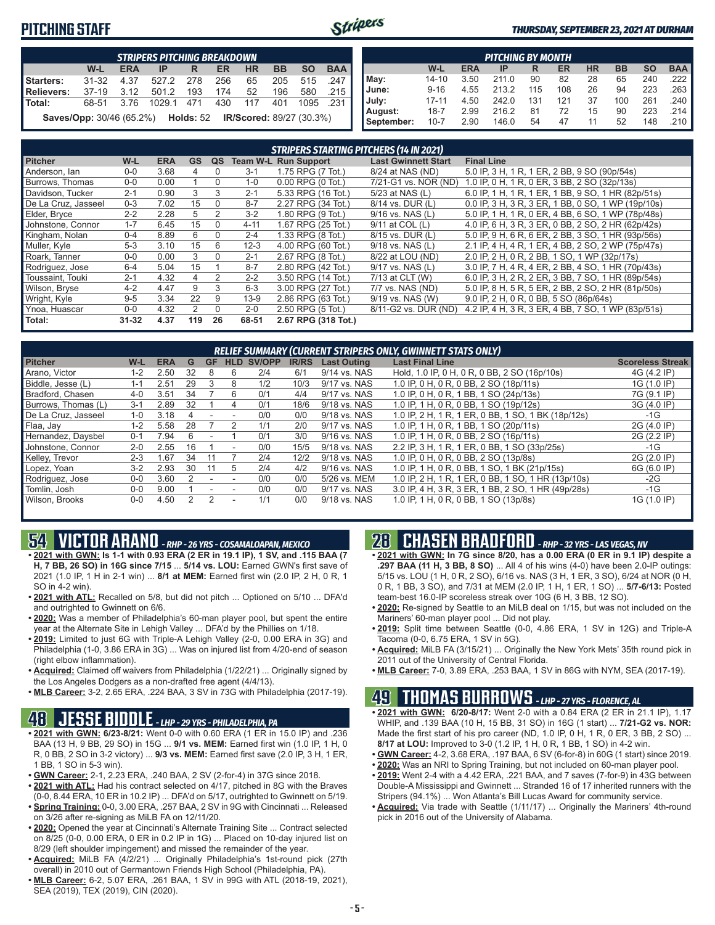## **PITCHING STAFF**



#### *THURSDAY, SEPTEMBER 23, 2021 AT DURHAM*

|            |                                                                                         |      | <b>STRIPERS PITCHING BREAKDOWN</b>                          |       |     |     |     |      |         |  |  |  |  |  |  |
|------------|-----------------------------------------------------------------------------------------|------|-------------------------------------------------------------|-------|-----|-----|-----|------|---------|--|--|--|--|--|--|
|            | <b>BAA</b><br><b>BB</b><br><b>SO</b><br>W-L<br><b>HR</b><br><b>ERA</b><br>ER<br>IP<br>R |      |                                                             |       |     |     |     |      |         |  |  |  |  |  |  |
| Starters:  | $31 - 32$                                                                               | 4.37 | 527.2                                                       | - 278 | 256 | 65  | 205 | 515  | .247    |  |  |  |  |  |  |
| Relievers: | 37-19                                                                                   | 3.12 | 501.2                                                       | 193   | 174 | 52  | 196 | 580  | ا 215.  |  |  |  |  |  |  |
| l Total:   | 68-51                                                                                   | 3.76 | 1029.1                                                      | 471   | 430 | 117 | 401 | 1095 | - 231 L |  |  |  |  |  |  |
|            |                                                                                         |      | Saves/Opp: 30/46 (65.2%) Holds: 52 IR/Scored: 89/27 (30.3%) |       |     |     |     |      |         |  |  |  |  |  |  |

|            |           |            | <b>PITCHING BY MONTH</b> |     |     |           |           |           |                       |
|------------|-----------|------------|--------------------------|-----|-----|-----------|-----------|-----------|-----------------------|
|            | W-L       | <b>ERA</b> | IP                       | R   | ER  | <b>HR</b> | <b>BB</b> | <b>SO</b> | <b>BAA</b>            |
| May:       | $14 - 10$ | 3.50       | 211.0                    | 90  | 82  | 28        | 65        | 240       | .222 I                |
| June:      | $9 - 16$  | 4.55       | 213.2                    | 115 | 108 | 26        | 94        | 223       | $.263$ $\blacksquare$ |
| July:      | $17 - 11$ | 4.50       | 242.0                    | 131 | 121 | 37        | 100       | 261       | .240                  |
| August:    | $18 - 7$  | 2.99       | 216.2                    | 81  | 72  | 15        | 90        | 223       | $.214$ $\blacksquare$ |
| September: | $10 - 7$  | 2.90       | 146.0                    | 54  | 47  | 11        | 52        | 148       | .210 ∎                |

|                     |           |            |           |          |          | <b>STRIPERS STARTING PITCHERS (14 IN 2021)</b> |                            |                                                    |
|---------------------|-----------|------------|-----------|----------|----------|------------------------------------------------|----------------------------|----------------------------------------------------|
| <b>Pitcher</b>      | W-L       | <b>ERA</b> | <b>GS</b> | QS       |          | <b>Team W-L Run Support</b>                    | <b>Last Gwinnett Start</b> | <b>Final Line</b>                                  |
| Anderson, lan       | $0 - 0$   | 3.68       | 4         | 0        | $3 - 1$  | 1.75 RPG (7 Tot.)                              | 8/24 at NAS (ND)           | 5.0 IP, 3 H, 1 R, 1 ER, 2 BB, 9 SO (90p/54s)       |
| Burrows, Thomas     | $0 - 0$   | 0.00       |           | 0        | $1 - 0$  | $0.00$ RPG $(0$ Tot.)                          | 7/21-G1 vs. NOR (ND)       | 1.0 IP, 0 H, 1 R, 0 ER, 3 BB, 2 SO (32p/13s)       |
| Davidson, Tucker    | $2 - 1$   | 0.90       | 3         | 3        | $2 - 1$  | 5.33 RPG (16 Tot.)                             | 5/23 at NAS (L)            | 6.0 IP, 1 H, 1 R, 1 ER, 1 BB, 9 SO, 1 HR (82p/51s) |
| De La Cruz, Jasseel | $0 - 3$   | 7.02       | 15        | $\Omega$ | $8 - 7$  | 2.27 RPG (34 Tot.)                             | 8/14 vs. DUR (L)           | 0.0 IP, 3 H, 3 R, 3 ER, 1 BB, 0 SO, 1 WP (19p/10s) |
| Elder, Bryce        | $2 - 2$   | 2.28       | 5         | 2        | $3 - 2$  | 1.80 RPG (9 Tot.)                              | $9/16$ vs. NAS (L)         | 5.0 IP, 1 H, 1 R, 0 ER, 4 BB, 6 SO, 1 WP (78p/48s) |
| Johnstone, Connor   | $1 - 7$   | 6.45       | 15        | 0        | $4 - 11$ | 1.67 RPG (25 Tot.)                             | 9/11 at COL (L)            | 4.0 IP, 6 H, 3 R, 3 ER, 0 BB, 2 SO, 2 HR (62p/42s) |
| Kingham, Nolan      | $0 - 4$   | 8.89       | 6         | $\Omega$ | $2 - 4$  | 1.33 RPG (8 Tot.)                              | 8/15 vs. DUR (L)           | 5.0 IP, 9 H, 6 R, 6 ER, 2 BB, 3 SO, 1 HR (93p/56s) |
| Muller, Kyle        | $5-3$     | 3.10       | 15        | 6        | $12 - 3$ | 4.00 RPG (60 Tot.)                             | 9/18 vs. NAS (L)           | 2.1 IP, 4 H, 4 R, 1 ER, 4 BB, 2 SO, 2 WP (75p/47s) |
| Roark. Tanner       | $0 - 0$   | 0.00       | 3         | $\Omega$ | $2 - 1$  | 2.67 RPG (8 Tot.)                              | 8/22 at LOU (ND)           | 2.0 IP, 2 H, 0 R, 2 BB, 1 SO, 1 WP (32p/17s)       |
| Rodriguez, Jose     | $6 - 4$   | 5.04       | 15        |          | $8 - 7$  | 2.80 RPG (42 Tot.)                             | 9/17 vs. NAS (L)           | 3.0 IP, 7 H, 4 R, 4 ER, 2 BB, 4 SO, 1 HR (70p/43s) |
| Toussaint. Touki    | $2 - 1$   | 4.32       | 4         | 2        | $2 - 2$  | 3.50 RPG (14 Tot.)                             | 7/13 at CLT (W)            | 6.0 IP, 3 H, 2 R, 2 ER, 3 BB, 7 SO, 1 HR (89p/54s) |
| Wilson, Bryse       | $4 - 2$   | 4.47       | 9         | 3        | $6 - 3$  | 3.00 RPG (27 Tot.)                             | 7/7 vs. NAS (ND)           | 5.0 IP, 8 H, 5 R, 5 ER, 2 BB, 2 SO, 2 HR (81p/50s) |
| Wright, Kyle        | $9 - 5$   | 3.34       | 22        | 9        | $13 - 9$ | 2.86 RPG (63 Tot.)                             | 9/19 vs. NAS (W)           | 9.0 IP, 2 H, 0 R, 0 BB, 5 SO (86p/64s)             |
| Ynoa, Huascar       | $0-0$     | 4.32       | 2         | $\Omega$ | $2 - 0$  | 2.50 RPG (5 Tot.)                              | 8/11-G2 vs. DUR (ND)       | 4.2 IP, 4 H, 3 R, 3 ER, 4 BB, 7 SO, 1 WP (83p/51s) |
| Total:              | $31 - 32$ | 4.37       | 119       | 26       | 68-51    | 2.67 RPG (318 Tot.)                            |                            |                                                    |

|                     |         |            |    |           |                          |        |              |                    | <b>RELIEF SUMMARY (CURRENT STRIPERS ONLY, GWINNETT STATS ONLY)</b> |                         |
|---------------------|---------|------------|----|-----------|--------------------------|--------|--------------|--------------------|--------------------------------------------------------------------|-------------------------|
| <b>Pitcher</b>      | W-L     | <b>ERA</b> | G  | <b>GF</b> | <b>HLD</b>               | SV/OPP | <b>IR/RS</b> | <b>Last Outing</b> | <b>Last Final Line</b>                                             | <b>Scoreless Streak</b> |
| Arano, Victor       | $1 - 2$ | 2.50       | 32 | 8         | 6                        | 2/4    | 6/1          | 9/14 vs. NAS       | Hold, 1.0 IP, 0 H, 0 R, 0 BB, 2 SO (16p/10s)                       | 4G (4.2 IP)             |
| Biddle, Jesse (L)   | $1 - 1$ | 2.51       | 29 | 3         | 8                        | 1/2    | 10/3         | 9/17 vs. NAS       | 1.0 IP, 0 H, 0 R, 0 BB, 2 SO (18p/11s)                             | 1G (1.0 IP)             |
| Bradford, Chasen    | $4 - 0$ | 3.51       | 34 |           | 6                        | 0/1    | 4/4          | 9/17 vs. NAS       | 1.0 IP, 0 H, 0 R, 1 BB, 1 SO (24p/13s)                             | 7G (9.1 IP)             |
| Burrows. Thomas (L) | $3 - 1$ | 2.89       | 32 |           | 4                        | 0/1    | 18/6         | 9/18 vs. NAS       | 1.0 IP, 1 H, 0 R, 0 BB, 1 SO (19p/12s)                             | 3G (4.0 IP)             |
| De La Cruz. Jasseel | $1 - 0$ | 3.18       | 4  |           | $\overline{\phantom{a}}$ | 0/0    | 0/0          | 9/18 vs. NAS       | 1.0 IP, 2 H, 1 R, 1 ER, 0 BB, 1 SO, 1 BK (18p/12s)                 | $-1G$                   |
| Flaa, Jay           | $1 - 2$ | 5.58       | 28 |           |                          | 1/1    | 2/0          | 9/17 vs. NAS       | 1.0 IP. 1 H. 0 R. 1 BB. 1 SO (20p/11s)                             | 2G (4.0 IP)             |
| Hernandez, Daysbel  | $0 - 1$ | 7.94       | 6  |           |                          | 0/1    | 3/0          | 9/16 vs. NAS       | 1.0 IP, 1 H, 0 R, 0 BB, 2 SO (16p/11s)                             | 2G (2.2 IP)             |
| Johnstone, Connor   | $2 - 0$ | 2.55       | 16 |           | $\overline{\phantom{a}}$ | 0/0    | 15/5         | 9/18 vs. NAS       | 2.2 IP, 3 H, 1 R, 1 ER, 0 BB, 1 SO (33p/25s)                       | $-1G$                   |
| Kelley, Trevor      | $2 - 3$ | 1.67       | 34 | 11        |                          | 2/4    | 12/2         | 9/18 vs. NAS       | 1.0 IP, 0 H, 0 R, 0 BB, 2 SO (13p/8s)                              | 2G (2.0 IP)             |
| Lopez, Yoan         | $3-2$   | 2.93       | 30 | 11        | 5                        | 2/4    | 4/2          | 9/16 vs. NAS       | 1.0 IP, 1 H, 0 R, 0 BB, 1 SO, 1 BK (21p/15s)                       | 6G (6.0 IP)             |
| Rodriguez, Jose     | $0 - 0$ | 3.60       |    |           | $\overline{\phantom{a}}$ | 0/0    | 0/0          | 5/26 vs. MEM       | 1.0 IP, 2 H, 1 R, 1 ER, 0 BB, 1 SO, 1 HR (13p/10s)                 | $-2G$                   |
| Tomlin, Josh        | $0 - 0$ | 9.00       |    |           |                          | 0/0    | 0/0          | 9/17 vs. NAS       | 3.0 IP, 4 H, 3 R, 3 ER, 1 BB, 2 SO, 1 HR (49p/28s)                 | -1G                     |
| Wilson, Brooks      | $0 - 0$ | 4.50       | 2  |           |                          | 1/1    | 0/0          | 9/18 vs. NAS       | 1.0 IP, 1 H, 0 R, 0 BB, 1 SO (13p/8s)                              | 1G (1.0 IP)             |

# **54 VICTOR ARANO** *- RHP - 26 YRS - COSAMALOAPAN, MEXICO*

- **• 2021 with GWN: Is 1-1 with 0.93 ERA (2 ER in 19.1 IP), 1 SV, and .115 BAA (7 H, 7 BB, 26 SO) in 16G since 7/15** ... **5/14 vs. LOU:** Earned GWN's first save of 2021 (1.0 IP, 1 H in 2-1 win) ... **8/1 at MEM:** Earned first win (2.0 IP, 2 H, 0 R, 1 SO in 4-2 win).
- **• 2021 with ATL:** Recalled on 5/8, but did not pitch ... Optioned on 5/10 ... DFA'd and outrighted to Gwinnett on 6/6.
- **• 2020:** Was a member of Philadelphia's 60-man player pool, but spent the entire year at the Alternate Site in Lehigh Valley ... DFA'd by the Phillies on 1/18.
- **• 2019:** Limited to just 6G with Triple-A Lehigh Valley (2-0, 0.00 ERA in 3G) and Philadelphia (1-0, 3.86 ERA in 3G) ... Was on injured list from 4/20-end of season (right elbow inflammation).
- **• Acquired:** Claimed off waivers from Philadelphia (1/22/21) ... Originally signed by the Los Angeles Dodgers as a non-drafted free agent (4/4/13).
- **• MLB Career:** 3-2, 2.65 ERA, .224 BAA, 3 SV in 73G with Philadelphia (2017-19).

# **48 JESSE BIDDLE** *- LHP - 29 YRS - PHILADELPHIA, PA*

- **• 2021 with GWN: 6/23-8/21:** Went 0-0 with 0.60 ERA (1 ER in 15.0 IP) and .236 BAA (13 H, 9 BB, 29 SO) in 15G ... **9/1 vs. MEM:** Earned first win (1.0 IP, 1 H, 0 R, 0 BB, 2 SO in 3-2 victory) ... **9/3 vs. MEM:** Earned first save (2.0 IP, 3 H, 1 ER, 1 BB, 1 SO in 5-3 win).
- **• GWN Career:** 2-1, 2.23 ERA, .240 BAA, 2 SV (2-for-4) in 37G since 2018.
- **• 2021 with ATL:** Had his contract selected on 4/17, pitched in 8G with the Braves (0-0, 8.44 ERA, 10 ER in 10.2 IP) ... DFA'd on 5/17, outrighted to Gwinnett on 5/19.
- **• Spring Training:** 0-0, 3.00 ERA, .257 BAA, 2 SV in 9G with Cincinnati ... Released on 3/26 after re-signing as MiLB FA on 12/11/20.
- **• 2020:** Opened the year at Cincinnati's Alternate Training Site ... Contract selected on 8/25 (0-0, 0.00 ERA, 0 ER in 0.2 IP in 1G) ... Placed on 10-day injured list on 8/29 (left shoulder impingement) and missed the remainder of the year.
- **• Acquired:** MiLB FA (4/2/21) ... Originally Philadelphia's 1st-round pick (27th overall) in 2010 out of Germantown Friends High School (Philadelphia, PA).
- **• MLB Career:** 6-2, 5.07 ERA, .261 BAA, 1 SV in 99G with ATL (2018-19, 2021), SEA (2019), TEX (2019), CIN (2020).

## **28 CHASEN BRADFORD** *- RHP - 32 YRS - LAS VEGAS, NV*

- **• 2021 with GWN: In 7G since 8/20, has a 0.00 ERA (0 ER in 9.1 IP) despite a .297 BAA (11 H, 3 BB, 8 SO)** ... All 4 of his wins (4-0) have been 2.0-IP outings: 5/15 vs. LOU (1 H, 0 R, 2 SO), 6/16 vs. NAS (3 H, 1 ER, 3 SO), 6/24 at NOR (0 H, 0 R, 1 BB, 3 SO), and 7/31 at MEM (2.0 IP, 1 H, 1 ER, 1 SO) ... **5/7-6/13:** Posted team-best 16.0-IP scoreless streak over 10G (6 H, 3 BB, 12 SO).
- **• 2020:** Re-signed by Seattle to an MiLB deal on 1/15, but was not included on the Mariners' 60-man player pool ... Did not play.
- **• 2019:** Split time between Seattle (0-0, 4.86 ERA, 1 SV in 12G) and Triple-A Tacoma (0-0, 6.75 ERA, 1 SV in 5G).
- **• Acquired:** MiLB FA (3/15/21) ... Originally the New York Mets' 35th round pick in 2011 out of the University of Central Florida.
- **• MLB Career:** 7-0, 3.89 ERA, .253 BAA, 1 SV in 86G with NYM, SEA (2017-19).

# **49 THOMAS BURROWS** *- LHP - 27 YRS - FLORENCE, AL*

- **• 2021 with GWN: 6/20-8/17:** Went 2-0 with a 0.84 ERA (2 ER in 21.1 IP), 1.17 WHIP, and .139 BAA (10 H, 15 BB, 31 SO) in 16G (1 start) ... **7/21-G2 vs. NOR:** Made the first start of his pro career (ND, 1.0 IP, 0 H, 1 R, 0 ER, 3 BB, 2 SO) ... **8/17 at LOU:** Improved to 3-0 (1.2 IP, 1 H, 0 R, 1 BB, 1 SO) in 4-2 win.
- **• GWN Career:** 4-2, 3.68 ERA, .197 BAA, 6 SV (6-for-8) in 60G (1 start) since 2019.
- **• 2020:** Was an NRI to Spring Training, but not included on 60-man player pool.
- **• 2019:** Went 2-4 with a 4.42 ERA, .221 BAA, and 7 saves (7-for-9) in 43G between Double-A Mississippi and Gwinnett ... Stranded 16 of 17 inherited runners with the Stripers (94.1%) ... Won Atlanta's Bill Lucas Award for community service.
- **• Acquired:** Via trade with Seattle (1/11/17) ... Originally the Mariners' 4th-round pick in 2016 out of the University of Alabama.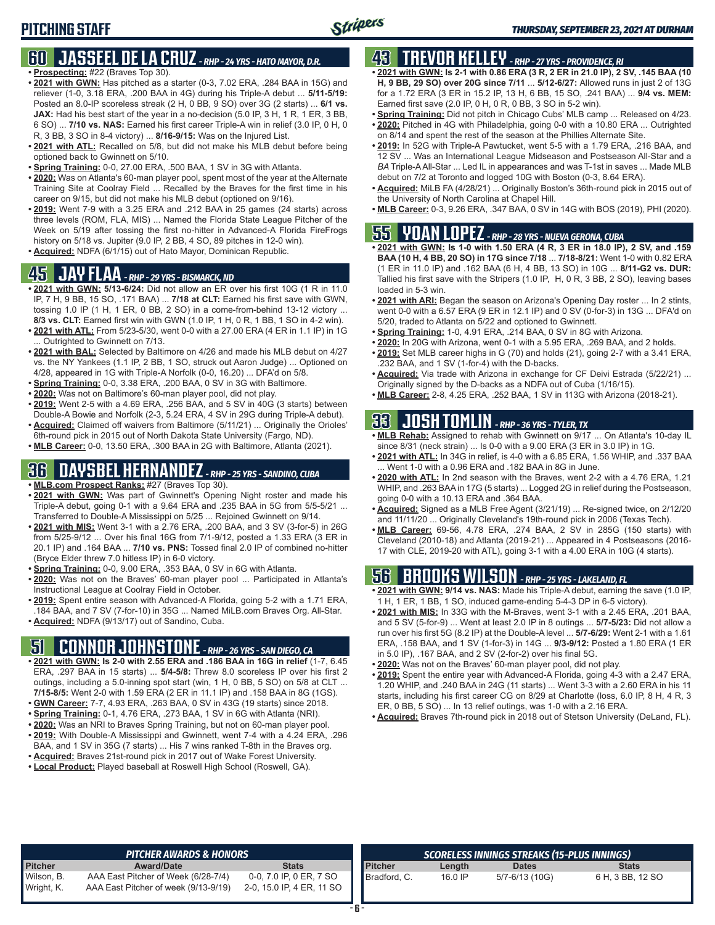#### **60 JASSEEL DE LA CRUZ** *- RHP - 24 YRS - HATO MAYOR, D.R.* **• Prospecting:** #22 (Braves Top 30).

- **• 2021 with GWN:** Has pitched as a starter (0-3, 7.02 ERA, .284 BAA in 15G) and reliever (1-0, 3.18 ERA, .200 BAA in 4G) during his Triple-A debut ... **5/11-5/19:** Posted an 8.0-IP scoreless streak (2 H, 0 BB, 9 SO) over 3G (2 starts) ... **6/1 vs. JAX:** Had his best start of the year in a no-decision (5.0 IP, 3 H, 1 R, 1 ER, 3 BB, 6 SO) ... **7/10 vs. NAS:** Earned his first career Triple-A win in relief (3.0 IP, 0 H, 0 R, 3 BB, 3 SO in 8-4 victory) ... **8/16-9/15:** Was on the Injured List.
- **• 2021 with ATL:** Recalled on 5/8, but did not make his MLB debut before being optioned back to Gwinnett on 5/10.
- **• Spring Training:** 0-0, 27.00 ERA, .500 BAA, 1 SV in 3G with Atlanta.
- **• 2020:** Was on Atlanta's 60-man player pool, spent most of the year at the Alternate Training Site at Coolray Field ... Recalled by the Braves for the first time in his career on 9/15, but did not make his MLB debut (optioned on 9/16).
- **• 2019:** Went 7-9 with a 3.25 ERA and .212 BAA in 25 games (24 starts) across three levels (ROM, FLA, MIS) ... Named the Florida State League Pitcher of the Week on 5/19 after tossing the first no-hitter in Advanced-A Florida FireFrogs history on 5/18 vs. Jupiter (9.0 IP, 2 BB, 4 SO, 89 pitches in 12-0 win).
- **• Acquired:** NDFA (6/1/15) out of Hato Mayor, Dominican Republic.

#### **45 JAY FLAA** *- RHP - 29 YRS - BISMARCK, ND*

- **• 2021 with GWN: 5/13-6/24:** Did not allow an ER over his first 10G (1 R in 11.0 IP, 7 H, 9 BB, 15 SO, .171 BAA) ... **7/18 at CLT:** Earned his first save with GWN, tossing 1.0 IP (1 H, 1 ER, 0 BB, 2 SO) in a come-from-behind 13-12 victory ... **8/3 vs. CLT:** Earned first win with GWN (1.0 IP, 1 H, 0 R, 1 BB, 1 SO in 4-2 win).
- **• 2021 with ATL:** From 5/23-5/30, went 0-0 with a 27.00 ERA (4 ER in 1.1 IP) in 1G ... Outrighted to Gwinnett on 7/13.
- **• 2021 with BAL:** Selected by Baltimore on 4/26 and made his MLB debut on 4/27 vs. the NY Yankees (1.1 IP, 2 BB, 1 SO, struck out Aaron Judge) ... Optioned on 4/28, appeared in 1G with Triple-A Norfolk (0-0, 16.20) ... DFA'd on 5/8.
- **• Spring Training:** 0-0, 3.38 ERA, .200 BAA, 0 SV in 3G with Baltimore.
- **• 2020:** Was not on Baltimore's 60-man player pool, did not play.
- **• 2019:** Went 2-5 with a 4.69 ERA, .256 BAA, and 5 SV in 40G (3 starts) between Double-A Bowie and Norfolk (2-3, 5.24 ERA, 4 SV in 29G during Triple-A debut).
- **• Acquired:** Claimed off waivers from Baltimore (5/11/21) ... Originally the Orioles' 6th-round pick in 2015 out of North Dakota State University (Fargo, ND).
- **• MLB Career:** 0-0, 13.50 ERA, .300 BAA in 2G with Baltimore, Atlanta (2021).

### **36 DAYSBEL HERNANDEZ** *- RHP - 25 YRS - SANDINO, CUBA*

- **• MLB.com Prospect Ranks:** #27 (Braves Top 30).
- **• 2021 with GWN:** Was part of Gwinnett's Opening Night roster and made his Triple-A debut, going 0-1 with a 9.64 ERA and .235 BAA in 5G from 5/5-5/21 ... Transferred to Double-A Mississippi on 5/25 ... Rejoined Gwinnett on 9/14.
- **• 2021 with MIS:** Went 3-1 with a 2.76 ERA, .200 BAA, and 3 SV (3-for-5) in 26G from 5/25-9/12 ... Over his final 16G from 7/1-9/12, posted a 1.33 ERA (3 ER in 20.1 IP) and .164 BAA ... **7/10 vs. PNS:** Tossed final 2.0 IP of combined no-hitter (Bryce Elder threw 7.0 hitless IP) in 6-0 victory.
- **• Spring Training:** 0-0, 9.00 ERA, .353 BAA, 0 SV in 6G with Atlanta.
- **• 2020:** Was not on the Braves' 60-man player pool ... Participated in Atlanta's Instructional League at Coolray Field in October.
- **• 2019:** Spent entire season with Advanced-A Florida, going 5-2 with a 1.71 ERA, .184 BAA, and 7 SV (7-for-10) in 35G ... Named MiLB.com Braves Org. All-Star.
- **• Acquired:** NDFA (9/13/17) out of Sandino, Cuba.

# **51 CONNOR JOHNSTONE** *- RHP - 26 YRS - SAN DIEGO, CA*

- **• 2021 with GWN: Is 2-0 with 2.55 ERA and .186 BAA in 16G in relief** (1-7, 6.45 ERA, .297 BAA in 15 starts) ... **5/4-5/8:** Threw 8.0 scoreless IP over his first 2 outings, including a 5.0-inning spot start (win, 1 H, 0 BB, 5 SO) on 5/8 at CLT ... **7/15-8/5:** Went 2-0 with 1.59 ERA (2 ER in 11.1 IP) and .158 BAA in 8G (1GS).
- **• GWN Career:** 7-7, 4.93 ERA, .263 BAA, 0 SV in 43G (19 starts) since 2018.
- **• Spring Training:** 0-1, 4.76 ERA, .273 BAA, 1 SV in 6G with Atlanta (NRI).
- **• 2020:** Was an NRI to Braves Spring Training, but not on 60-man player pool.
- **• 2019:** With Double-A Mississippi and Gwinnett, went 7-4 with a 4.24 ERA, .296 BAA, and 1 SV in 35G (7 starts) ... His 7 wins ranked T-8th in the Braves org.
- **• Acquired:** Braves 21st-round pick in 2017 out of Wake Forest University.
- **• Local Product:** Played baseball at Roswell High School (Roswell, GA).

# **43 TREVOR KELLEY** *- RHP - 27 YRS - PROVIDENCE, RI*

- **• 2021 with GWN: Is 2-1 with 0.86 ERA (3 R, 2 ER in 21.0 IP), 2 SV, .145 BAA (10 H, 9 BB, 29 SO) over 20G since 7/11** ... **5/12-6/27:** Allowed runs in just 2 of 13G for a 1.72 ERA (3 ER in 15.2 IP, 13 H, 6 BB, 15 SO, .241 BAA) ... **9/4 vs. MEM:** Earned first save (2.0 IP, 0 H, 0 R, 0 BB, 3 SO in 5-2 win).
- **• Spring Training:** Did not pitch in Chicago Cubs' MLB camp ... Released on 4/23.
- **• 2020:** Pitched in 4G with Philadelphia, going 0-0 with a 10.80 ERA ... Outrighted on 8/14 and spent the rest of the season at the Phillies Alternate Site.
- **• 2019:** In 52G with Triple-A Pawtucket, went 5-5 with a 1.79 ERA, .216 BAA, and 12 SV ... Was an International League Midseason and Postseason All-Star and a *BA* Triple-A All-Star ... Led IL in appearances and was T-1st in saves ... Made MLB debut on 7/2 at Toronto and logged 10G with Boston (0-3, 8.64 ERA).
- **• Acquired:** MiLB FA (4/28/21) ... Originally Boston's 36th-round pick in 2015 out of the University of North Carolina at Chapel Hill.
- **• MLB Career:** 0-3, 9.26 ERA, .347 BAA, 0 SV in 14G with BOS (2019), PHI (2020).

# **55 YOAN LOPEZ** *- RHP - 28 YRS - NUEVA GERONA, CUBA*

- **• 2021 with GWN: Is 1-0 with 1.50 ERA (4 R, 3 ER in 18.0 IP), 2 SV, and .159 BAA (10 H, 4 BB, 20 SO) in 17G since 7/18** ... **7/18-8/21:** Went 1-0 with 0.82 ERA (1 ER in 11.0 IP) and .162 BAA (6 H, 4 BB, 13 SO) in 10G ... **8/11-G2 vs. DUR:** Tallied his first save with the Stripers (1.0 IP, H, 0 R, 3 BB, 2 SO), leaving bases loaded in 5-3 win.
- **• 2021 with ARI:** Began the season on Arizona's Opening Day roster ... In 2 stints, went 0-0 with a 6.57 ERA (9 ER in 12.1 IP) and 0 SV (0-for-3) in 13G ... DFA'd on 5/20, traded to Atlanta on 5/22 and optioned to Gwinnett.
- **• Spring Training:** 1-0, 4.91 ERA, .214 BAA, 0 SV in 8G with Arizona.
- **• 2020:** In 20G with Arizona, went 0-1 with a 5.95 ERA, .269 BAA, and 2 holds. **• 2019:** Set MLB career highs in G (70) and holds (21), going 2-7 with a 3.41 ERA,
- .232 BAA, and 1 SV (1-for-4) with the D-backs.
- **• Acquired:** Via trade with Arizona in exchange for CF Deivi Estrada (5/22/21) ... Originally signed by the D-backs as a NDFA out of Cuba (1/16/15).
- **• MLB Career:** 2-8, 4.25 ERA, .252 BAA, 1 SV in 113G with Arizona (2018-21).

## **33 JOSH TOMLIN** *- RHP - 36 YRS - TYLER, TX*

- **• MLB Rehab:** Assigned to rehab with Gwinnett on 9/17 ... On Atlanta's 10-day IL since 8/31 (neck strain) ... Is 0-0 with a 9.00 ERA (3 ER in 3.0 IP) in 1G.
- **• 2021 with ATL:** In 34G in relief, is 4-0 with a 6.85 ERA, 1.56 WHIP, and .337 BAA .Went 1-0 with a 0.96 ERA and .182 BAA in 8G in June
- **• 2020 with ATL:** In 2nd season with the Braves, went 2-2 with a 4.76 ERA, 1.21 WHIP, and .263 BAA in 17G (5 starts) ... Logged 2G in relief during the Postseason, going 0-0 with a 10.13 ERA and .364 BAA.
- **• Acquired:** Signed as a MLB Free Agent (3/21/19) ... Re-signed twice, on 2/12/20 and 11/11/20 ... Originally Cleveland's 19th-round pick in 2006 (Texas Tech).
- **• MLB Career:** 69-56, 4.78 ERA, .274 BAA, 2 SV in 285G (150 starts) with Cleveland (2010-18) and Atlanta (2019-21) ... Appeared in 4 Postseasons (2016- 17 with CLE, 2019-20 with ATL), going 3-1 with a 4.00 ERA in 10G (4 starts).

## **56 BROOKS WILSON** *- RHP - 25 YRS - LAKELAND, FL*

- **• 2021 with GWN: 9/14 vs. NAS:** Made his Triple-A debut, earning the save (1.0 IP, 1 H, 1 ER, 1 BB, 1 SO, induced game-ending 5-4-3 DP in 6-5 victory).
- **• 2021 with MIS:** In 33G with the M-Braves, went 3-1 with a 2.45 ERA, .201 BAA, and 5 SV (5-for-9) ... Went at least 2.0 IP in 8 outings ... **5/7-5/23:** Did not allow a run over his first 5G (8.2 IP) at the Double-A level ... **5/7-6/29:** Went 2-1 with a 1.61 ERA, .158 BAA, and 1 SV (1-for-3) in 14G ... **9/3-9/12:** Posted a 1.80 ERA (1 ER in 5.0 IP), .167 BAA, and 2 SV (2-for-2) over his final 5G.
- **• 2020:** Was not on the Braves' 60-man player pool, did not play.
- **• 2019:** Spent the entire year with Advanced-A Florida, going 4-3 with a 2.47 ERA, 1.20 WHIP, and .240 BAA in 24G (11 starts) ... Went 3-3 with a 2.60 ERA in his 11 starts, including his first career CG on 8/29 at Charlotte (loss, 6.0 IP, 8 H, 4 R, 3 ER, 0 BB, 5 SO) ... In 13 relief outings, was 1-0 with a 2.16 ERA.
- **• Acquired:** Braves 7th-round pick in 2018 out of Stetson University (DeLand, FL).

|                          | <b>PITCHER AWARDS &amp; HONORS</b>                                          |                                                      |                |         | SCORELESS INNINGS STREAKS (15-PLUS INNINGS) |                  |
|--------------------------|-----------------------------------------------------------------------------|------------------------------------------------------|----------------|---------|---------------------------------------------|------------------|
| <b>Pitcher</b>           | <b>Award/Date</b>                                                           | Stats                                                | <b>Pitcher</b> | Length  | <b>Dates</b>                                | <b>Stats</b>     |
| Wilson, B.<br>Wright, K. | AAA East Pitcher of Week (6/28-7/4)<br>AAA East Pitcher of week (9/13-9/19) | 0-0, 7.0 IP, 0 ER, 7 SO<br>2-0, 15.0 IP, 4 ER, 11 SO | Bradford, C.   | 16.0 IP | 5/7-6/13 (10G)                              | 6 H, 3 BB, 12 SO |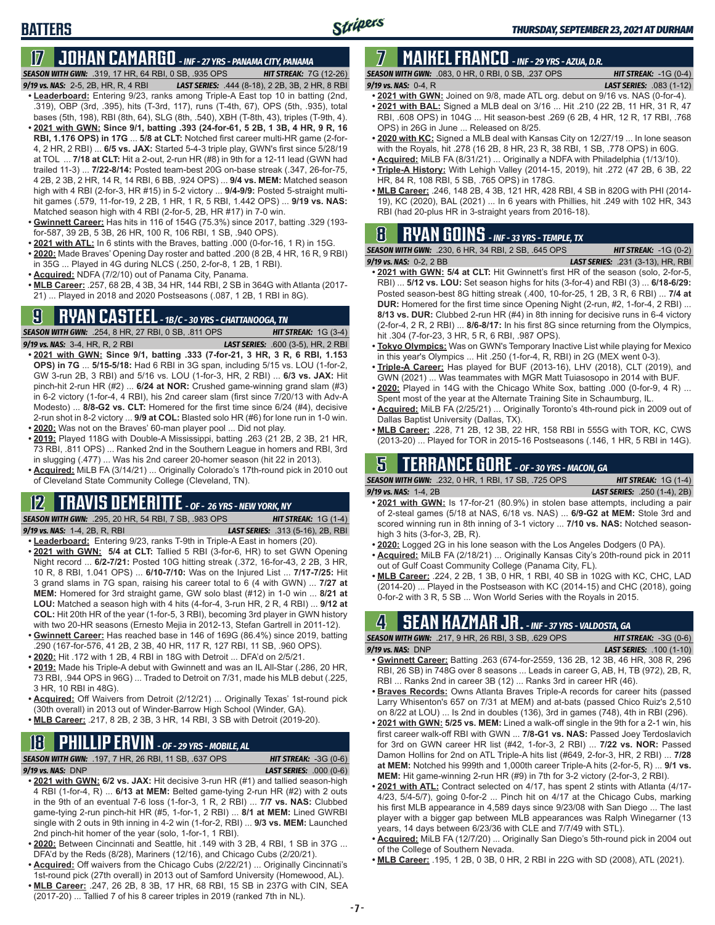## **BATTERS**

# **17 JOHAN CAMARGO** *- INF - 27 YRS - PANAMA CITY, PANAMA*

*SEASON WITH GWN:*.319, 17 HR, 64 RBI, 0 SB, .935 OPS *HIT STREAK:* 7G (12-26)

- *9/19 vs. NAS:* 2-5, 2B, HR, R, 4 RBI *LAST SERIES:* .444 (8-18), 2 2B, 3B, 2 HR, 8 RBI **• Leaderboard:** Entering 9/23, ranks among Triple-A East top 10 in batting (2nd, .319), OBP (3rd, .395), hits (T-3rd, 117), runs (T-4th, 67), OPS (5th, .935), total bases (5th, 198), RBI (8th, 64), SLG (8th, .540), XBH (T-8th, 43), triples (T-9th, 4). **• 2021 with GWN: Since 9/1, batting .393 (24-for-61, 5 2B, 1 3B, 4 HR, 9 R, 16 RBI, 1.176 OPS) in 17G** ... **5/8 at CLT:** Notched first career multi-HR game (2-for-4, 2 HR, 2 RBI) ... **6/5 vs. JAX:** Started 5-4-3 triple play, GWN's first since 5/28/19 at TOL ... **7/18 at CLT:** Hit a 2-out, 2-run HR (#8) in 9th for a 12-11 lead (GWN had trailed 11-3) ... **7/22-8/14:** Posted team-best 20G on-base streak (.347, 26-for-75, 4 2B, 2 3B, 2 HR, 14 R, 14 RBI, 6 BB, .924 OPS) ... **9/4 vs. MEM:** Matched season high with 4 RBI (2-for-3, HR #15) in 5-2 victory ... **9/4-9/9:** Posted 5-straight multihit games (.579, 11-for-19, 2 2B, 1 HR, 1 R, 5 RBI, 1.442 OPS) ... **9/19 vs. NAS:** Matched season high with 4 RBI (2-for-5, 2B, HR #17) in 7-0 win.
- **• Gwinnett Career:** Has hits in 116 of 154G (75.3%) since 2017, batting .329 (193 for-587, 39 2B, 5 3B, 26 HR, 100 R, 106 RBI, 1 SB, .940 OPS).
- **• 2021 with ATL:** In 6 stints with the Braves, batting .000 (0-for-16, 1 R) in 15G.
- **• 2020:** Made Braves' Opening Day roster and batted .200 (8 2B, 4 HR, 16 R, 9 RBI) in 35G ... Played in 4G during NLCS (.250, 2-for-8, 1 2B, 1 RBI).
- **• Acquired:** NDFA (7/2/10) out of Panama City, Panama.
- **• MLB Career:** .257, 68 2B, 4 3B, 34 HR, 144 RBI, 2 SB in 364G with Atlanta (2017- 21) ... Played in 2018 and 2020 Postseasons (.087, 1 2B, 1 RBI in 8G).

# **9 RYAN CASTEEL** *- 1B/C - 30 YRS - CHATTANOOGA, TN*

*SEASON WITH GWN:*.254, 8 HR, 27 RBI, 0 SB, .811 OPS *HIT STREAK:* 1G (3-4) *9/19 vs. NAS:*3-4, HR, R, 2 RBI *LAST SERIES:* .600 (3-5), HR, 2 RBI

- **• 2021 with GWN: Since 9/1, batting .333 (7-for-21, 3 HR, 3 R, 6 RBI, 1.153 OPS) in 7G** ... **5/15-5/18:** Had 6 RBI in 3G span, including 5/15 vs. LOU (1-for-2, GW 3-run 2B, 3 RBI) and 5/16 vs. LOU (1-for-3, HR, 2 RBI) ... **6/3 vs. JAX:** Hit pinch-hit 2-run HR (#2) ... **6/24 at NOR:** Crushed game-winning grand slam (#3) in 6-2 victory (1-for-4, 4 RBI), his 2nd career slam (first since 7/20/13 with Adv-A Modesto) ... **8/8-G2 vs. CLT:** Homered for the first time since 6/24 (#4), decisive 2-run shot in 8-2 victory ... **9/9 at COL:** Blasted solo HR (#6) for lone run in 1-0 win.
- **• 2020:** Was not on the Braves' 60-man player pool ... Did not play.
- **• 2019:** Played 118G with Double-A Mississippi, batting .263 (21 2B, 2 3B, 21 HR, 73 RBI, .811 OPS) ... Ranked 2nd in the Southern League in homers and RBI, 3rd in slugging (.477) ... Was his 2nd career 20-homer season (hit 22 in 2013).
- **• Acquired:** MiLB FA (3/14/21) ... Originally Colorado's 17th-round pick in 2010 out of Cleveland State Community College (Cleveland, TN).

#### **12 TRAVIS DEMERITTE** *- OF - 26 YRS - NEW YORK, NY*

*SEASON WITH GWN:*.295, 20 HR, 54 RBI, 7 SB, .983 OPS *HIT STREAK:* 1G (1-4) *9/19 vs. NAS:*1-4, 2B, R, RBI *LAST SERIES:* .313 (5-16), 2B, RBI

- **• Leaderboard:** Entering 9/23, ranks T-9th in Triple-A East in homers (20). **• 2021 with GWN: 5/4 at CLT:** Tallied 5 RBI (3-for-6, HR) to set GWN Opening Night record ... **6/2-7/21:** Posted 10G hitting streak (.372, 16-for-43, 2 2B, 3 HR, 10 R, 8 RBI, 1.041 OPS) ... **6/10-7/10:** Was on the Injured List ... **7/17-7/25:** Hit 3 grand slams in 7G span, raising his career total to 6 (4 with GWN) ... **7/27 at MEM:** Homered for 3rd straight game, GW solo blast (#12) in 1-0 win ... **8/21 at LOU:** Matched a season high with 4 hits (4-for-4, 3-run HR, 2 R, 4 RBI) ... **9/12 at COL:** Hit 20th HR of the year (1-for-5, 3 RBI), becoming 3rd player in GWN history with two 20-HR seasons (Ernesto Mejia in 2012-13, Stefan Gartrell in 2011-12).
- **• Gwinnett Career:** Has reached base in 146 of 169G (86.4%) since 2019, batting .290 (167-for-576, 41 2B, 2 3B, 40 HR, 117 R, 127 RBI, 11 SB, .960 OPS).
- **• 2020:** Hit .172 with 1 2B, 4 RBI in 18G with Detroit ... DFA'd on 2/5/21.
- **• 2019:** Made his Triple-A debut with Gwinnett and was an IL All-Star (.286, 20 HR, 73 RBI, .944 OPS in 96G) ... Traded to Detroit on 7/31, made his MLB debut (.225, 3 HR, 10 RBI in 48G).
- **• Acquired:** Off Waivers from Detroit (2/12/21) ... Originally Texas' 1st-round pick (30th overall) in 2013 out of Winder-Barrow High School (Winder, GA).
- **• MLB Career:** .217, 8 2B, 2 3B, 3 HR, 14 RBI, 3 SB with Detroit (2019-20).

# **18 PHILLIP ERVIN** *- OF - 29 YRS - MOBILE, AL*

*SEASON WITH GWN:*.197, 7 HR, 26 RBI, 11 SB, .637 OPS *HIT STREAK:* -3G (0-6)

*9/19 vs. NAS:*DNP *LAST SERIES:* .000 (0-6)

- **• 2021 with GWN: 6/2 vs. JAX:** Hit decisive 3-run HR (#1) and tallied season-high 4 RBI (1-for-4, R) ... **6/13 at MEM:** Belted game-tying 2-run HR (#2) with 2 outs in the 9th of an eventual 7-6 loss (1-for-3, 1 R, 2 RBI) ... **7/7 vs. NAS:** Clubbed game-tying 2-run pinch-hit HR (#5, 1-for-1, 2 RBI) ... **8/1 at MEM:** Lined GWRBI single with 2 outs in 9th inning in 4-2 win (1-for-2, RBI) ... **9/3 vs. MEM:** Launched 2nd pinch-hit homer of the year (solo, 1-for-1, 1 RBI).
- **• 2020:** Between Cincinnati and Seattle, hit .149 with 3 2B, 4 RBI, 1 SB in 37G ... DFA'd by the Reds (8/28), Mariners (12/16), and Chicago Cubs (2/20/21).
- **• Acquired:** Off waivers from the Chicago Cubs (2/22/21) ... Originally Cincinnati's 1st-round pick (27th overall) in 2013 out of Samford University (Homewood, AL).
- **• MLB Career:** .247, 26 2B, 8 3B, 17 HR, 68 RBI, 15 SB in 237G with CIN, SEA (2017-20) ... Tallied 7 of his 8 career triples in 2019 (ranked 7th in NL).

# **7 MAIKEL FRANCO** *- INF - 29 YRS - AZUA, D.R.*

*SEASON WITH GWN:*.083, 0 HR, 0 RBI, 0 SB, .237 OPS *HIT STREAK:* -1G (0-4) *9/19 vs. NAS:*0-4, R *LAST SERIES:* .083 (1-12)

- **• 2021 with GWN:** Joined on 9/8, made ATL org. debut on 9/16 vs. NAS (0-for-4).
- **• 2021 with BAL:** Signed a MLB deal on 3/16 ... Hit .210 (22 2B, 11 HR, 31 R, 47 RBI, .608 OPS) in 104G ... Hit season-best .269 (6 2B, 4 HR, 12 R, 17 RBI, .768 OPS) in 26G in June ... Released on 8/25.
- **• 2020 with KC:** Signed a MLB deal with Kansas City on 12/27/19 ... In lone season with the Royals, hit .278 (16 2B, 8 HR, 23 R, 38 RBI, 1 SB, .778 OPS) in 60G.
- **• Acquired:** MiLB FA (8/31/21) ... Originally a NDFA with Philadelphia (1/13/10).
- **• Triple-A History:** With Lehigh Valley (2014-15, 2019), hit .272 (47 2B, 6 3B, 22 HR, 84 R, 108 RBI, 5 SB, .765 OPS) in 178G.
- **• MLB Career:** .246, 148 2B, 4 3B, 121 HR, 428 RBI, 4 SB in 820G with PHI (2014- 19), KC (2020), BAL (2021) ... In 6 years with Phillies, hit .249 with 102 HR, 343 RBI (had 20-plus HR in 3-straight years from 2016-18).

# **8 RYAN GOINS** *- INF - 33 YRS - TEMPLE, TX*

*SEASON WITH GWN:*.230, 6 HR, 34 RBI, 2 SB, .645 OPS *HIT STREAK:* -1G (0-2) *9/19 vs. NAS:*0-2, 2 BB *LAST SERIES:* .231 (3-13), HR, RBI

- **• 2021 with GWN: 5/4 at CLT:** Hit Gwinnett's first HR of the season (solo, 2-for-5, RBI) ... **5/12 vs. LOU:** Set season highs for hits (3-for-4) and RBI (3) ... **6/18-6/29:** Posted season-best 8G hitting streak (.400, 10-for-25, 1 2B, 3 R, 6 RBI) ... **7/4 at DUR:** Homered for the first time since Opening Night (2-run, #2, 1-for-4, 2 RBI) ... **8/13 vs. DUR:** Clubbed 2-run HR (#4) in 8th inning for decisive runs in 6-4 victory (2-for-4, 2 R, 2 RBI) ... **8/6-8/17:** In his first 8G since returning from the Olympics, hit .304 (7-for-23, 3 HR, 5 R, 6 RBI, .987 OPS).
- **• Tokyo Olympics:** Was on GWN's Temporary Inactive List while playing for Mexico in this year's Olympics ... Hit .250 (1-for-4, R, RBI) in 2G (MEX went 0-3).
- **• Triple-A Career:** Has played for BUF (2013-16), LHV (2018), CLT (2019), and GWN (2021) ... Was teammates with MGR Matt Tuiasosopo in 2014 with BUF.
- **• 2020:** Played in 14G with the Chicago White Sox, batting .000 (0-for-9, 4 R) ... Spent most of the year at the Alternate Training Site in Schaumburg, IL.
- **• Acquired:** MiLB FA (2/25/21) ... Originally Toronto's 4th-round pick in 2009 out of Dallas Baptist University (Dallas, TX).
- **• MLB Career:** .228, 71 2B, 12 3B, 22 HR, 158 RBI in 555G with TOR, KC, CWS (2013-20) ... Played for TOR in 2015-16 Postseasons (.146, 1 HR, 5 RBI in 14G).

## **5 TERRANCE GORE** *- OF - 30 YRS - MACON, GA*

*SEASON WITH GWN:*.232, 0 HR, 1 RBI, 17 SB, .725 OPS *HIT STREAK:* 1G (1-4) *9/19 vs. NAS:*1-4, 2B *LAST SERIES:* .250 (1-4), 2B)

- **• 2021 with GWN:** Is 17-for-21 (80.9%) in stolen base attempts, including a pair of 2-steal games (5/18 at NAS, 6/18 vs. NAS) ... **6/9-G2 at MEM:** Stole 3rd and scored winning run in 8th inning of 3-1 victory ... **7/10 vs. NAS:** Notched seasonhigh 3 hits (3-for-3, 2B, R).
- **• 2020:** Logged 2G in his lone season with the Los Angeles Dodgers (0 PA).
- **• Acquired:** MiLB FA (2/18/21) ... Originally Kansas City's 20th-round pick in 2011 out of Gulf Coast Community College (Panama City, FL).
- **• MLB Career:** .224, 2 2B, 1 3B, 0 HR, 1 RBI, 40 SB in 102G with KC, CHC, LAD (2014-20) ... Played in the Postseason with KC (2014-15) and CHC (2018), going 0-for-2 with 3 R, 5 SB ... Won World Series with the Royals in 2015.

## **4 SEAN KAZMAR JR.** *- INF - 37 YRS - VALDOSTA, GA*

| <b>SEASON WITH GWN: .217, 9 HR, 26 RBI, 3 SB, .629 OPS</b> |  |  | <b>HIT STREAK: <math>-3G(0-6)</math></b> |  |
|------------------------------------------------------------|--|--|------------------------------------------|--|
| $9/19$ vs. NAS: DNP                                        |  |  | <b>LAST SERIES:</b> .100 (1-10)          |  |
|                                                            |  |  |                                          |  |

- **• Gwinnett Career:** Batting .263 (674-for-2559, 136 2B, 12 3B, 46 HR, 308 R, 296 RBI, 26 SB) in 748G over 8 seasons ... Leads in career G, AB, H, TB (972), 2B, R, RBI ... Ranks 2nd in career 3B (12) ... Ranks 3rd in career HR (46).
- **• Braves Records:** Owns Atlanta Braves Triple-A records for career hits (passed Larry Whisenton's 657 on 7/31 at MEM) and at-bats (passed Chico Ruiz's 2,510 on 8/22 at LOU) ... Is 2nd in doubles (136), 3rd in games (748), 4th in RBI (296).
- **• 2021 with GWN: 5/25 vs. MEM:** Lined a walk-off single in the 9th for a 2-1 win, his first career walk-off RBI with GWN ... **7/8-G1 vs. NAS:** Passed Joey Terdoslavich for 3rd on GWN career HR list (#42, 1-for-3, 2 RBI) ... **7/22 vs. NOR:** Passed Damon Hollins for 2nd on ATL Triple-A hits list (#649, 2-for-3, HR, 2 RBI) ... **7/28 at MEM:** Notched his 999th and 1,000th career Triple-A hits (2-for-5, R) ... **9/1 vs. MEM:** Hit game-winning 2-run HR (#9) in 7th for 3-2 victory (2-for-3, 2 RBI).
- **• 2021 with ATL:** Contract selected on 4/17, has spent 2 stints with Atlanta (4/17- 4/23, 5/4-5/7), going 0-for-2 ... Pinch hit on 4/17 at the Chicago Cubs, marking his first MLB appearance in 4,589 days since 9/23/08 with San Diego ... The last player with a bigger gap between MLB appearances was Ralph Winegarner (13 years, 14 days between 6/23/36 with CLE and 7/7/49 with STL).
- **• Acquired:** MiLB FA (12/7/20) ... Originally San Diego's 5th-round pick in 2004 out of the College of Southern Nevada.
- **• MLB Career:** .195, 1 2B, 0 3B, 0 HR, 2 RBI in 22G with SD (2008), ATL (2021).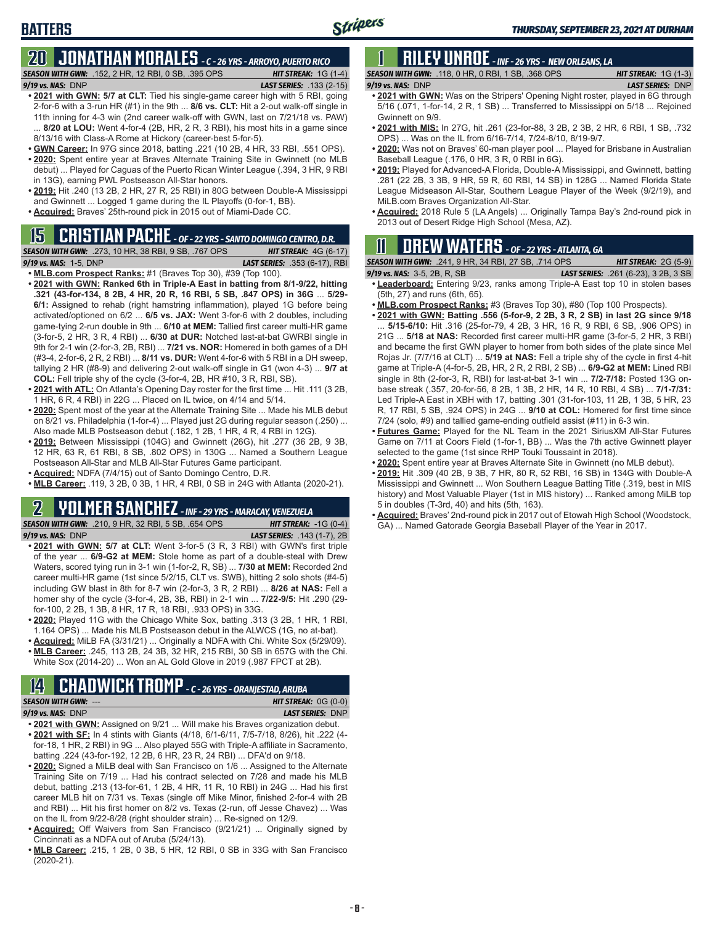# **BATTERS**

#### **20 JONATHAN MORALES** *- C - 26 YRS - ARROYO, PUERTO RICO SEASON WITH GWN:*.152, 2 HR, 12 RBI, 0 SB, .395 OPS *HIT STREAK:* 1G (1-4) *9/19 vs. NAS:*DNP *LAST SERIES:* .133 (2-15)

- **• 2021 with GWN: 5/7 at CLT:** Tied his single-game career high with 5 RBI, going 2-for-6 with a 3-run HR (#1) in the 9th ... **8/6 vs. CLT:** Hit a 2-out walk-off single in 11th inning for 4-3 win (2nd career walk-off with GWN, last on 7/21/18 vs. PAW) 8/20 at LOU: Went 4-for-4 (2B, HR, 2 R, 3 RBI), his most hits in a game since 8/13/16 with Class-A Rome at Hickory (career-best 5-for-5).
- **• GWN Career:** In 97G since 2018, batting .221 (10 2B, 4 HR, 33 RBI, .551 OPS). **• 2020:** Spent entire year at Braves Alternate Training Site in Gwinnett (no MLB
- debut) ... Played for Caguas of the Puerto Rican Winter League (.394, 3 HR, 9 RBI in 13G), earning PWL Postseason All-Star honors.
- **• 2019:** Hit .240 (13 2B, 2 HR, 27 R, 25 RBI) in 80G between Double-A Mississippi and Gwinnett ... Logged 1 game during the IL Playoffs (0-for-1, BB).
- **• Acquired:** Braves' 25th-round pick in 2015 out of Miami-Dade CC.

# **15 CRISTIAN PACHE** *- OF - 22 YRS - SANTO DOMINGO CENTRO, D.R.*

*SEASON WITH GWN:*.273, 10 HR, 38 RBI, 9 SB, .767 OPS *HIT STREAK:* 4G (6-17)

*9/19 vs. NAS:* 1-5, DNP *LAST SERIES:* .353 (6-17), RBI **• MLB.com Prospect Ranks:** #1 (Braves Top 30), #39 (Top 100).

- **• 2021 with GWN: Ranked 6th in Triple-A East in batting from 8/1-9/22, hitting .321 (43-for-134, 8 2B, 4 HR, 20 R, 16 RBI, 5 SB, .847 OPS) in 36G** ... **5/29- 6/1:** Assigned to rehab (right hamstring inflammation), played 1G before being activated/optioned on 6/2 ... **6/5 vs. JAX:** Went 3-for-6 with 2 doubles, including game-tying 2-run double in 9th ... **6/10 at MEM:** Tallied first career multi-HR game (3-for-5, 2 HR, 3 R, 4 RBI) ... **6/30 at DUR:** Notched last-at-bat GWRBI single in 9th for 2-1 win (2-for-3, 2B, RBI) ... **7/21 vs. NOR:** Homered in both games of a DH (#3-4, 2-for-6, 2 R, 2 RBI) ... **8/11 vs. DUR:** Went 4-for-6 with 5 RBI in a DH sweep, tallying 2 HR (#8-9) and delivering 2-out walk-off single in G1 (won 4-3) ... **9/7 at COL:** Fell triple shy of the cycle (3-for-4, 2B, HR #10, 3 R, RBI, SB).
- **• 2021 with ATL:** On Atlanta's Opening Day roster for the first time ... Hit .111 (3 2B, 1 HR, 6 R, 4 RBI) in 22G ... Placed on IL twice, on 4/14 and 5/14.
- **• 2020:** Spent most of the year at the Alternate Training Site ... Made his MLB debut on 8/21 vs. Philadelphia (1-for-4) ... Played just 2G during regular season (.250) ... Also made MLB Postseason debut (.182, 1 2B, 1 HR, 4 R, 4 RBI in 12G).
- **• 2019:** Between Mississippi (104G) and Gwinnett (26G), hit .277 (36 2B, 9 3B, 12 HR, 63 R, 61 RBI, 8 SB, .802 OPS) in 130G ... Named a Southern League Postseason All-Star and MLB All-Star Futures Game participant.
- **• Acquired:** NDFA (7/4/15) out of Santo Domingo Centro, D.R.
- **• MLB Career:** .119, 3 2B, 0 3B, 1 HR, 4 RBI, 0 SB in 24G with Atlanta (2020-21).

# **2 YOLMER SANCHEZ** *- INF - 29 YRS - MARACAY, VENEZUELA*

*SEASON WITH GWN:*.210, 9 HR, 32 RBI, 5 SB, .654 OPS *HIT STREAK:* -1G (0-4) *9/19 vs. NAS:*DNP *LAST SERIES:* .143 (1-7), 2B

- **• 2021 with GWN: 5/7 at CLT:** Went 3-for-5 (3 R, 3 RBI) with GWN's first triple of the year ... **6/9-G2 at MEM:** Stole home as part of a double-steal with Drew Waters, scored tying run in 3-1 win (1-for-2, R, SB) ... **7/30 at MEM:** Recorded 2nd career multi-HR game (1st since 5/2/15, CLT vs. SWB), hitting 2 solo shots (#4-5) including GW blast in 8th for 8-7 win (2-for-3, 3 R, 2 RBI) ... **8/26 at NAS:** Fell a homer shy of the cycle (3-for-4, 2B, 3B, RBI) in 2-1 win ... **7/22-9/5:** Hit .290 (29 for-100, 2 2B, 1 3B, 8 HR, 17 R, 18 RBI, .933 OPS) in 33G.
- **• 2020:** Played 11G with the Chicago White Sox, batting .313 (3 2B, 1 HR, 1 RBI, 1.164 OPS) ... Made his MLB Postseason debut in the ALWCS (1G, no at-bat).
- **• Acquired:** MiLB FA (3/31/21) ... Originally a NDFA with Chi. White Sox (5/29/09). **• MLB Career:** .245, 113 2B, 24 3B, 32 HR, 215 RBI, 30 SB in 657G with the Chi. White Sox (2014-20) ... Won an AL Gold Glove in 2019 (.987 FPCT at 2B).

#### **14 CHADWICK TROMP** *- C - 26 YRS - ORANJESTAD, ARUBA SEASON WITH GWN:*--- *HIT STREAK:* 0G (0-0)

- *9/19 vs. NAS:*DNP *LAST SERIES:* DNP
- **• 2021 with GWN:** Assigned on 9/21 ... Will make his Braves organization debut. **• 2021 with SF:** In 4 stints with Giants (4/18, 6/1-6/11, 7/5-7/18, 8/26), hit .222 (4 for-18, 1 HR, 2 RBI) in 9G ... Also played 55G with Triple-A affiliate in Sacramento, batting .224 (43-for-192, 12 2B, 6 HR, 23 R, 24 RBI) ... DFA'd on 9/18.
- **• 2020:** Signed a MiLB deal with San Francisco on 1/6 ... Assigned to the Alternate Training Site on 7/19 ... Had his contract selected on 7/28 and made his MLB debut, batting .213 (13-for-61, 1 2B, 4 HR, 11 R, 10 RBI) in 24G ... Had his first career MLB hit on 7/31 vs. Texas (single off Mike Minor, finished 2-for-4 with 2B and RBI) ... Hit his first homer on 8/2 vs. Texas (2-run, off Jesse Chavez) ... Was on the IL from 9/22-8/28 (right shoulder strain) ... Re-signed on 12/9.
- **• Acquired:** Off Waivers from San Francisco (9/21/21) ... Originally signed by Cincinnati as a NDFA out of Aruba (5/24/13).
- **• MLB Career:** .215, 1 2B, 0 3B, 5 HR, 12 RBI, 0 SB in 33G with San Francisco (2020-21).

# **1 RILEY UNROE** *- INF - 26 YRS - NEW ORLEANS, LA*

*SEASON WITH GWN:*.118, 0 HR, 0 RBI, 1 SB, .368 OPS *HIT STREAK:* 1G (1-3) *9/19 vs. NAS:*DNP *LAST SERIES:* DNP

- - **• 2021 with GWN:** Was on the Stripers' Opening Night roster, played in 6G through 5/16 (.071, 1-for-14, 2 R, 1 SB) ... Transferred to Mississippi on 5/18 ... Rejoined Gwinnett on 9/9.
	- **• 2021 with MIS:** In 27G, hit .261 (23-for-88, 3 2B, 2 3B, 2 HR, 6 RBI, 1 SB, .732 OPS) ... Was on the IL from 6/16-7/14, 7/24-8/10, 8/19-9/7.
	- **• 2020:** Was not on Braves' 60-man player pool ... Played for Brisbane in Australian Baseball League (.176, 0 HR, 3 R, 0 RBI in 6G).
	- **• 2019:** Played for Advanced-A Florida, Double-A Mississippi, and Gwinnett, batting .281 (22 2B, 3 3B, 9 HR, 59 R, 60 RBI, 14 SB) in 128G ... Named Florida State League Midseason All-Star, Southern League Player of the Week (9/2/19), and MiLB.com Braves Organization All-Star.
- **• Acquired:** 2018 Rule 5 (LA Angels) ... Originally Tampa Bay's 2nd-round pick in 2013 out of Desert Ridge High School (Mesa, AZ).

# **11 Drew WATERS** *- OF - 22 YRS - ATLANTA, GA*

*SEASON WITH GWN:*.241, 9 HR, 34 RBI, 27 SB, .714 OPS *HIT STREAK:* 2G (5-9)

- *9/19 vs. NAS:*3-5, 2B, R, SB *LAST SERIES:* .261 (6-23), 3 2B, 3 SB **• Leaderboard:** Entering 9/23, ranks among Triple-A East top 10 in stolen bases (5th, 27) and runs (6th, 65).
- **• MLB.com Prospect Ranks:** #3 (Braves Top 30), #80 (Top 100 Prospects).
- **• 2021 with GWN: Batting .556 (5-for-9, 2 2B, 3 R, 2 SB) in last 2G since 9/18** ... **5/15-6/10:** Hit .316 (25-for-79, 4 2B, 3 HR, 16 R, 9 RBI, 6 SB, .906 OPS) in 21G ... **5/18 at NAS:** Recorded first career multi-HR game (3-for-5, 2 HR, 3 RBI) and became the first GWN player to homer from both sides of the plate since Mel Rojas Jr. (7/7/16 at CLT) ... **5/19 at NAS:** Fell a triple shy of the cycle in first 4-hit game at Triple-A (4-for-5, 2B, HR, 2 R, 2 RBI, 2 SB) ... **6/9-G2 at MEM:** Lined RBI single in 8th (2-for-3, R, RBI) for last-at-bat 3-1 win ... **7/2-7/18:** Posted 13G onbase streak (.357, 20-for-56, 8 2B, 1 3B, 2 HR, 14 R, 10 RBI, 4 SB) ... **7/1-7/31:** Led Triple-A East in XBH with 17, batting .301 (31-for-103, 11 2B, 1 3B, 5 HR, 23 R, 17 RBI, 5 SB, .924 OPS) in 24G ... **9/10 at COL:** Homered for first time since 7/24 (solo, #9) and tallied game-ending outfield assist (#11) in 6-3 win.
- **• Futures Game:** Played for the NL Team in the 2021 SiriusXM All-Star Futures Game on 7/11 at Coors Field (1-for-1, BB) ... Was the 7th active Gwinnett player selected to the game (1st since RHP Touki Toussaint in 2018).
- **• 2020:** Spent entire year at Braves Alternate Site in Gwinnett (no MLB debut).
- **• 2019:** Hit .309 (40 2B, 9 3B, 7 HR, 80 R, 52 RBI, 16 SB) in 134G with Double-A Mississippi and Gwinnett ... Won Southern League Batting Title (.319, best in MIS history) and Most Valuable Player (1st in MIS history) ... Ranked among MiLB top 5 in doubles (T-3rd, 40) and hits (5th, 163).
- **• Acquired:** Braves' 2nd-round pick in 2017 out of Etowah High School (Woodstock, GA) ... Named Gatorade Georgia Baseball Player of the Year in 2017.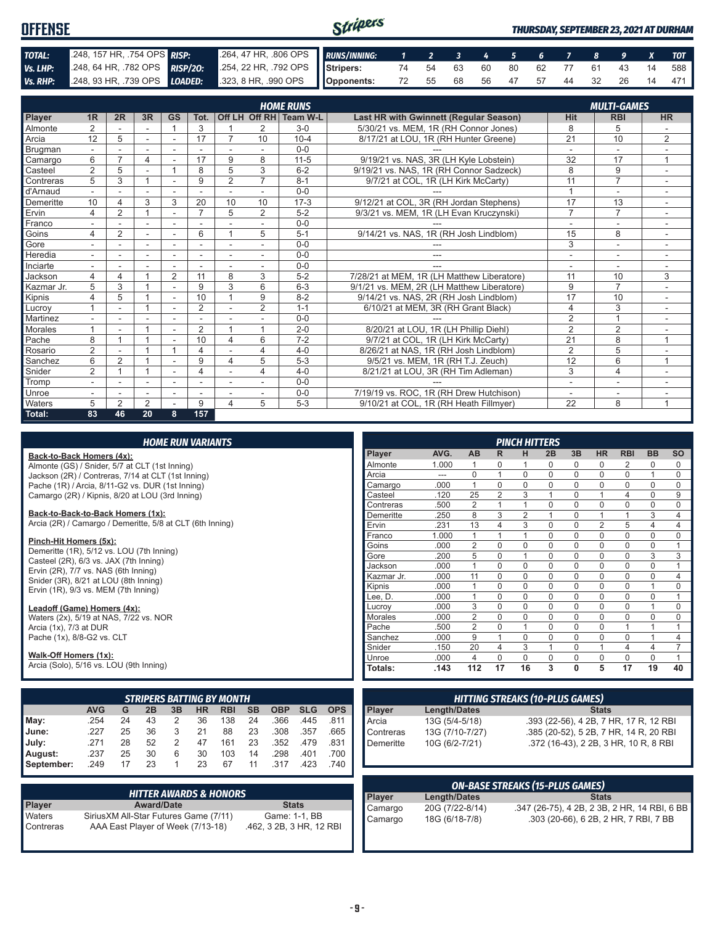| <b>OFFENSE</b> |                                                                                              |                                                          | Stripers |  |  |  |  |  | <b>THURSDAY, SEPTEMBER 23, 2021 AT DURHAM</b> |
|----------------|----------------------------------------------------------------------------------------------|----------------------------------------------------------|----------|--|--|--|--|--|-----------------------------------------------|
| TOTAL:         | 248, 157 HR, 754 OPS RISP:                                                                   | 264, 47 HR, 806 OPS RUNS/INNING: 1 2 3 4 5 6 7 8 9 X TOT |          |  |  |  |  |  |                                               |
| Vs. LHP:       | 248, 64 HR, 782 OPS RISP/20: 254, 22 HR, 792 OPS Stripers: 74 54 63 60 80 62 77 61 43 14 588 |                                                          |          |  |  |  |  |  |                                               |
|                | Vs. RHP: 248, 93 HR, 739 OPS LOADED: 323, 8 HR, 990 OPS Opponents:                           |                                                          |          |  |  |  |  |  | 72 55 68 56 47 57 44 32 26 14 471             |

|            |                          |                |                |                |                         |                |                          | <b>HOME RUNS</b>       |                                            |                | <b>MULTI-GAMES</b>       |                          |
|------------|--------------------------|----------------|----------------|----------------|-------------------------|----------------|--------------------------|------------------------|--------------------------------------------|----------------|--------------------------|--------------------------|
| Player     | 1R                       | 2R             | 3R             | <b>GS</b>      | Tot.                    |                |                          | Off LH Off RH Team W-L | Last HR with Gwinnett (Regular Season)     | <b>Hit</b>     | <b>RBI</b>               | <b>HR</b>                |
| Almonte    | 2                        |                |                | $\overline{1}$ | 3                       |                | 2                        | $3-0$                  | 5/30/21 vs. MEM. 1R (RH Connor Jones)      | 8              | 5                        |                          |
| Arcia      | 12                       | 5              |                |                | 17                      | 7              | 10                       | $10 - 4$               | 8/17/21 at LOU, 1R (RH Hunter Greene)      | 21             | 10                       | $\overline{2}$           |
| Brugman    |                          |                |                | $\blacksquare$ |                         |                |                          | $0 - 0$                |                                            | $\overline{a}$ |                          |                          |
| Camargo    | 6                        | $\overline{ }$ | 4              |                | 17                      | 9              | 8                        | $11 - 5$               | 9/19/21 vs. NAS, 3R (LH Kyle Lobstein)     | 32             | 17                       | 1                        |
| Casteel    | $\overline{2}$           | 5              | ۰              |                | 8                       | 5              | 3                        | $6 - 2$                | 9/19/21 vs. NAS, 1R (RH Connor Sadzeck)    | 8              | 9                        | ٠                        |
| Contreras  | 5                        | 3              | $\overline{ }$ |                | 9                       | $\overline{2}$ | $\overline{7}$           | $8 - 1$                | 9/7/21 at COL, 1R (LH Kirk McCarty)        | 11             | $\overline{7}$           |                          |
| d'Arnaud   |                          |                | ۰              | ٠              |                         |                |                          | $0 - 0$                |                                            | $\overline{A}$ | ٠                        |                          |
| Demeritte  | 10                       | 4              | 3              | 3              | 20                      | 10             | 10                       | $17-3$                 | 9/12/21 at COL, 3R (RH Jordan Stephens)    | 17             | 13                       |                          |
| Ervin      | 4                        | $\overline{2}$ |                |                | $\overline{7}$          | 5              | $\overline{2}$           | $5-2$                  | 9/3/21 vs. MEM, 1R (LH Evan Kruczynski)    | $\overline{7}$ | $\overline{7}$           |                          |
| Franco     | $\sim$                   |                | ٠              | ٠              | ٠                       |                |                          | $0 - 0$                |                                            | $\overline{a}$ | $\sim$                   | $\sim$                   |
| Goins      | 4                        | $\overline{2}$ | ۰              | ۰              | 6                       |                | 5                        | $5 - 1$                | 9/14/21 vs. NAS, 1R (RH Josh Lindblom)     | 15             | 8                        |                          |
| Gore       |                          |                | ۰              | ۰              |                         |                |                          | $0 - 0$                |                                            | 3              | $\overline{a}$           |                          |
| Heredia    | $\sim$                   |                | ٠              | ٠              | $\overline{a}$          |                |                          | $0 - 0$                | ---                                        | ٠              | ۰                        |                          |
| Inciarte   |                          |                |                |                |                         |                |                          | $0 - 0$                |                                            |                |                          |                          |
| Jackson    | 4                        | 4              |                | $\overline{2}$ | 11                      | 8              | 3                        | $5-2$                  | 7/28/21 at MEM, 1R (LH Matthew Liberatore) | 11             | 10                       | 3                        |
| Kazmar Jr. | 5                        | 3              |                | $\blacksquare$ | 9                       | 3              | 6                        | $6 - 3$                | 9/1/21 vs. MEM. 2R (LH Matthew Liberatore) | 9              | $\overline{7}$           |                          |
| Kipnis     | 4                        | 5              |                |                | 10                      |                | 9                        | $8 - 2$                | 9/14/21 vs. NAS. 2R (RH Josh Lindblom)     | 17             | 10                       |                          |
| Lucroy     |                          |                |                |                | $\overline{2}$          |                | $\overline{2}$           | $1 - 1$                | 6/10/21 at MEM, 3R (RH Grant Black)        | $\overline{4}$ | 3                        |                          |
| Martinez   |                          |                |                |                |                         |                |                          | $0 - 0$                |                                            | $\overline{2}$ |                          |                          |
| Morales    |                          |                |                | $\blacksquare$ | 2                       |                |                          | $2 - 0$                | 8/20/21 at LOU, 1R (LH Phillip Diehl)      | $\overline{2}$ | 2                        | $\overline{\phantom{a}}$ |
| Pache      | 8                        |                |                |                | 10                      | 4              | 6                        | $7 - 2$                | 9/7/21 at COL, 1R (LH Kirk McCarty)        | 21             | 8                        | $\overline{ }$           |
| Rosario    | $\overline{2}$           |                |                |                | 4                       |                | 4                        | $4 - 0$                | 8/26/21 at NAS, 1R (RH Josh Lindblom)      | $\overline{2}$ | 5                        |                          |
| Sanchez    | 6                        | 2              |                |                | 9                       | 4              | 5                        | $5-3$                  | 9/5/21 vs. MEM, 1R (RH T.J. Zeuch)         | 12             | 6                        | $\overline{ }$           |
| Snider     | $\overline{2}$           |                |                |                | $\overline{\mathbf{4}}$ | ٠              | 4                        | $4 - 0$                | 8/21/21 at LOU, 3R (RH Tim Adleman)        | 3              | $\overline{4}$           |                          |
| Tromp      | $\sim$                   |                | ٠              | ٠              | ٠                       | ٠              | $\overline{\phantom{a}}$ | $0 - 0$                |                                            | ٠              | $\overline{\phantom{a}}$ | $\overline{\phantom{a}}$ |
| Unroe      | $\overline{\phantom{a}}$ |                | ٠              | ٠              | ٠                       |                | $\sim$                   | $0 - 0$                | 7/19/19 vs. ROC, 1R (RH Drew Hutchison)    | $\blacksquare$ | ۰                        |                          |
| Waters     | 5                        | 2              | $\overline{2}$ |                | 9                       | 4              | 5                        | $5 - 3$                | 9/10/21 at COL, 1R (RH Heath Fillmyer)     | 22             | 8                        | 1                        |
| Total:     | 83                       | 46             | 20             | 8              | 157                     |                |                          |                        |                                            |                |                          |                          |

|  | <b>HOME RUN VARIANTS</b> |  |
|--|--------------------------|--|
|  |                          |  |

**Back-to-Back Homers (4x):** Almonte (GS) / Snider, 5/7 at CLT (1st Inning) Jackson (2R) / Contreras, 7/14 at CLT (1st Inning) Pache (1R) / Arcia, 8/11-G2 vs. DUR (1st Inning)

Camargo (2R) / Kipnis, 8/20 at LOU (3rd Inning)

**Back-to-Back-to-Back Homers (1x):**

Arcia (2R) / Camargo / Demeritte, 5/8 at CLT (6th Inning)

#### **Pinch-Hit Homers (5x):**

Demeritte (1R), 5/12 vs. LOU (7th Inning) Casteel (2R), 6/3 vs. JAX (7th Inning) Ervin (2R), 7/7 vs. NAS (6th Inning) Snider (3R), 8/21 at LOU (8th Inning) Ervin (1R), 9/3 vs. MEM (7th Inning)

**Leadoff (Game) Homers (4x):**

Waters (2x), 5/19 at NAS, 7/22 vs. NOR Arcia (1x), 7/3 at DUR Pache (1x), 8/8-G2 vs. CLT

#### **Walk-Off Homers (1x):**

Arcia (Solo), 5/16 vs. LOU (9th Inning)

|            |            |    |    |    |    | <b>STRIPERS BATTING BY MONTH</b> |           |            |            |            |
|------------|------------|----|----|----|----|----------------------------------|-----------|------------|------------|------------|
|            | <b>AVG</b> | G  | 2Β | 3B | HR | <b>RBI</b>                       | <b>SB</b> | <b>OBP</b> | <b>SLG</b> | <b>OPS</b> |
| May:       | .254       | 24 | 43 | 2  | 36 | 138                              | 24        | .366       | .445       | .811       |
| June:      | .227       | 25 | 36 | 3  | 21 | 88                               | 23        | .308       | .357       | .665       |
| July:      | .271       | 28 | 52 |    | 47 | 161                              | 23        | .352       | .479       | .831       |
| August:    | .237       | 25 | 30 | 6  | 30 | 103                              | 14        | .298       | .401       | .700       |
| September: | .249       | 17 | 23 |    | 23 | 67                               | 11        | .317       | .423       | .740       |

|                     | ' HITTER AWARDS & HONORS .                                                  |                                           |
|---------------------|-----------------------------------------------------------------------------|-------------------------------------------|
| <b>Player</b>       | <b>Award/Date</b>                                                           | <b>Stats</b>                              |
| Waters<br>Contreras | Sirius XM All-Star Futures Game (7/11)<br>AAA East Player of Week (7/13-18) | Game: 1-1, BB<br>.462, 3 2B, 3 HR, 12 RBI |

|            |       |                |                | <b>PINCH HITTERS</b> |             |              |                |                |           |           |
|------------|-------|----------------|----------------|----------------------|-------------|--------------|----------------|----------------|-----------|-----------|
| Player     | AVG.  | <b>AB</b>      | R              | н                    | 2B          | 3B           | <b>HR</b>      | <b>RBI</b>     | <b>BB</b> | <b>SO</b> |
| Almonte    | 1.000 | 1              | 0              | 1                    | 0           | 0            | 0              | 2              | 0         | 0         |
| Arcia      |       | $\Omega$       | 1              | $\Omega$             | $\Omega$    | $\Omega$     | $\Omega$       | $\Omega$       | 1         | 0         |
| Camargo    | .000  | 1              | $\Omega$       | $\Omega$             | $\Omega$    | $\Omega$     | $\Omega$       | $\Omega$       | $\Omega$  | 0         |
| Casteel    | .120  | 25             | $\overline{2}$ | 3                    | 1           | $\Omega$     | 1              | $\overline{4}$ | $\Omega$  | 9         |
| Contreras  | .500  | $\overline{2}$ | 1              | 1                    | 0           | $\Omega$     | $\mathbf 0$    | $\mathbf 0$    | 0         | 0         |
| Demeritte  | .250  | 8              | 3              | $\overline{2}$       | 1           | $\Omega$     | 1              | 1              | 3         | 4         |
| Ervin      | .231  | 13             | 4              | 3                    | $\Omega$    | $\Omega$     | $\overline{2}$ | 5              | 4         | 4         |
| Franco     | 1.000 | 1              | 1              | 1                    | 0           | 0            | 0              | $\Omega$       | 0         | 0         |
| Goins      | .000  | $\overline{2}$ | 0              | $\mathbf 0$          | $\mathbf 0$ | $\mathbf 0$  | $\mathbf 0$    | $\mathbf 0$    | 0         | 1         |
| Gore       | .200  | 5              | $\Omega$       | 1                    | $\Omega$    | $\Omega$     | $\Omega$       | $\Omega$       | 3         | 3         |
| Jackson    | .000  | 1              | $\Omega$       | $\Omega$             | $\Omega$    | $\Omega$     | $\Omega$       | $\Omega$       | $\Omega$  | 1         |
| Kazmar Jr. | .000  | 11             | $\Omega$       | $\Omega$             | $\Omega$    | $\Omega$     | $\Omega$       | $\Omega$       | $\Omega$  | 4         |
| Kipnis     | .000  | 1              | $\Omega$       | $\Omega$             | 0           | $\Omega$     | $\Omega$       | $\Omega$       | 1         | $\Omega$  |
| Lee, D.    | .000  | 1              | $\Omega$       | $\Omega$             | $\Omega$    | $\Omega$     | $\Omega$       | $\Omega$       | $\Omega$  | 1         |
| Lucroy     | .000  | 3              | $\Omega$       | $\Omega$             | 0           | $\Omega$     | $\Omega$       | $\Omega$       | 1         | $\Omega$  |
| Morales    | .000  | $\overline{2}$ | 0              | 0                    | $\Omega$    | $\Omega$     | 0              | $\Omega$       | 0         | 0         |
| Pache      | .500  | $\overline{2}$ | 0              | 1                    | $\mathbf 0$ | $\mathbf 0$  | $\mathbf 0$    | 1              | 1         | 1         |
| Sanchez    | .000  | 9              | 1              | $\Omega$             | $\mathbf 0$ | $\Omega$     | $\mathbf 0$    | $\Omega$       | 1         | 4         |
| Snider     | .150  | 20             | 4              | 3                    | 1           | $\Omega$     | 1              | $\overline{4}$ | 4         | 7         |
| Unroe      | .000  | 4              | $\Omega$       | $\Omega$             | $\Omega$    | $\Omega$     | $\Omega$       | $\Omega$       | $\Omega$  | 1         |
| Totals:    | .143  | 112            | 17             | 16                   | 3           | $\mathbf{0}$ | 5              | 17             | 19        | 40        |

| <b>HITTING STREAKS (10-PLUS GAMES)</b> |                     |                                        |  |  |  |  |  |  |
|----------------------------------------|---------------------|----------------------------------------|--|--|--|--|--|--|
| Player                                 | <b>Length/Dates</b> | <b>Stats</b>                           |  |  |  |  |  |  |
| Arcia                                  | 13G (5/4-5/18)      | .393 (22-56), 4 2B, 7 HR, 17 R, 12 RBI |  |  |  |  |  |  |
| <b>Contreras</b>                       | 13G (7/10-7/27)     | .385 (20-52), 5 2B, 7 HR, 14 R, 20 RBI |  |  |  |  |  |  |
| Demeritte                              | 10G (6/2-7/21)      | .372 (16-43), 2 2B, 3 HR, 10 R, 8 RBI  |  |  |  |  |  |  |

| <b>ON-BASE STREAKS (15-PLUS GAMES)</b> |                 |                                              |  |
|----------------------------------------|-----------------|----------------------------------------------|--|
| Player<br>Camargo                      | Length/Dates    | <b>Stats</b>                                 |  |
|                                        | 20G (7/22-8/14) | .347 (26-75), 4 2B, 2 3B, 2 HR, 14 RBI, 6 BB |  |
| Camargo                                | 18G (6/18-7/8)  | .303 (20-66), 6 2B, 2 HR, 7 RBI, 7 BB        |  |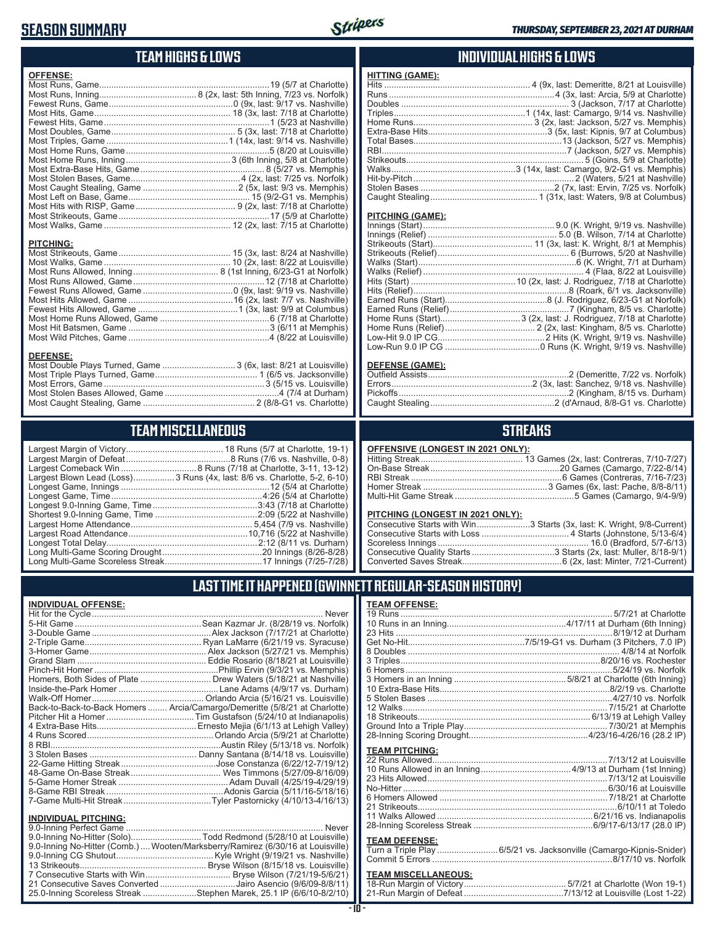## **SEASON SUMMARY**



## **TEAM HIGHS & LOWS**

| <b>OFFENSE:</b>  |                                                                  |
|------------------|------------------------------------------------------------------|
|                  |                                                                  |
|                  |                                                                  |
|                  |                                                                  |
|                  |                                                                  |
|                  |                                                                  |
|                  |                                                                  |
|                  |                                                                  |
|                  |                                                                  |
|                  |                                                                  |
|                  |                                                                  |
|                  |                                                                  |
|                  |                                                                  |
|                  |                                                                  |
|                  |                                                                  |
|                  |                                                                  |
| <b>PITCHING:</b> |                                                                  |
|                  |                                                                  |
|                  |                                                                  |
|                  |                                                                  |
|                  |                                                                  |
|                  |                                                                  |
|                  |                                                                  |
|                  |                                                                  |
|                  |                                                                  |
|                  |                                                                  |
|                  |                                                                  |
|                  |                                                                  |
| <b>DEFENSE:</b>  |                                                                  |
|                  | Most Double Plays Turned, Game  3 (6x, last: 8/21 at Louisville) |

#### Most Caught Stealing, Game .............................................. 2 (8/8-G1 vs. Charlotte) **TEAM MISCELLANEOUS**

Most Triple Plays Turned, Game .......................................... 1 (6/5 vs. Jacksonville) Most Errors, Game ..................................................................3 (5/15 vs. Louisville) Most Stolen Bases Allowed, Game ...............................................4 (7/4 at Durham)

| I EAN MEISCLEAN CUUD |                                                                          |  |
|----------------------|--------------------------------------------------------------------------|--|
|                      |                                                                          |  |
|                      | Largest Blown Lead (Loss)3 Runs (4x, last: 8/6 vs. Charlotte, 5-2, 6-10) |  |
|                      |                                                                          |  |
|                      |                                                                          |  |
|                      |                                                                          |  |
|                      |                                                                          |  |
|                      | Long Multi-Game Scoring Drought……………………………………20 Innings (8/26-8/28)      |  |
|                      |                                                                          |  |

Long Multi-Game Scoreless Streak ........................................17 Innings (7/25-7/28)

#### **INDIVIDUAL HIGHS & LOWS**

| <b>HITTING (GAME):</b> |  |
|------------------------|--|
|                        |  |
|                        |  |
|                        |  |
|                        |  |
|                        |  |
|                        |  |
|                        |  |
|                        |  |
|                        |  |
|                        |  |
|                        |  |
|                        |  |
|                        |  |
|                        |  |

#### **PITCHING (GAME):**

#### **DEFENSE (GAME):**

#### **STREAKS**

#### **OFFENSIVE (LONGEST IN 2021 ONLY):**

#### **PITCHING (LONGEST IN 2021 ONLY):**

| Consecutive Starts with Win3 Starts (3x, last: K. Wright, 9/8-Current) |
|------------------------------------------------------------------------|
|                                                                        |
|                                                                        |
|                                                                        |
|                                                                        |
|                                                                        |

## **LAST TIME IT HAPPENED (GWINNETT REGULAR-SEASON HISTORY)**

#### **INDIVIDUAL OFFENSE:**

|                             | Homers, Both Sides of Plate ………………………… Drew Waters (5/18/21 at Nashville)  |
|-----------------------------|----------------------------------------------------------------------------|
|                             |                                                                            |
|                             |                                                                            |
|                             | Back-to-Back-to-Back Homers  Arcia/Camargo/Demeritte (5/8/21 at Charlotte) |
|                             |                                                                            |
|                             |                                                                            |
|                             |                                                                            |
|                             |                                                                            |
|                             |                                                                            |
|                             |                                                                            |
|                             |                                                                            |
|                             |                                                                            |
|                             |                                                                            |
| <b>INDIVIDUAL PITCHING:</b> |                                                                            |
|                             |                                                                            |

| 9.0-Inning No-Hitter (Solo)Todd Redmond (5/28/10 at Louisville)                |  |
|--------------------------------------------------------------------------------|--|
| 9.0-Inning No-Hitter (Comb.) Wooten/Marksberry/Ramirez (6/30/16 at Louisville) |  |
|                                                                                |  |
|                                                                                |  |
|                                                                                |  |
| 21 Consecutive Saves Converted Jairo Asencio (9/6/09-8/8/11)                   |  |
| 25.0-Inning Scoreless Streak Stephen Marek, 25.1 IP (6/6/10-8/2/10)            |  |
|                                                                                |  |

**TEAM OFFENSE:**

| <b>TEAM PITCHING:</b> |                                                               |
|-----------------------|---------------------------------------------------------------|
|                       |                                                               |
|                       |                                                               |
|                       | 23 Hits Allowed…………………………………………………………………7/13/12 at Louisville |
|                       |                                                               |
|                       |                                                               |
|                       |                                                               |
|                       |                                                               |
|                       |                                                               |
| <b>TEAM DEFENSE:</b>  |                                                               |
|                       |                                                               |
|                       |                                                               |
|                       |                                                               |

# **TEAM MISCELLANEOUS:**<br>18-Run Margin of Victory....

| 21-Run Margin of Defeat…………………………………7/13/12 at Louisville (Lost 1-22) |  |  |
|-----------------------------------------------------------------------|--|--|